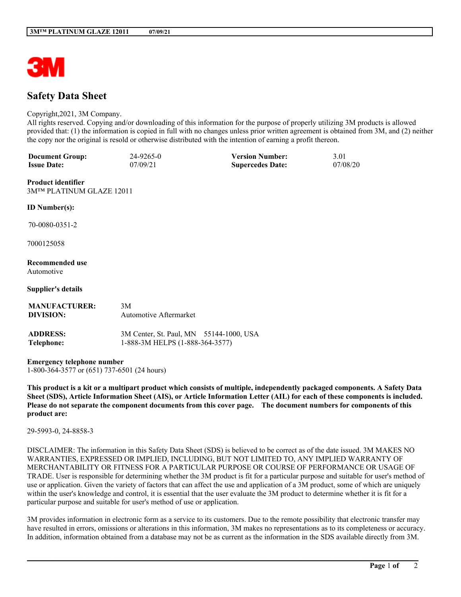

# **Safety Data Sheet**

#### Copyright,2021, 3M Company.

All rights reserved. Copying and/or downloading of this information for the purpose of properly utilizing 3M products is allowed provided that: (1) the information is copied in full with no changes unless prior written agreement is obtained from 3M, and (2) neither the copy nor the original is resold or otherwise distributed with the intention of earning a profit thereon.

| <b>Document Group:</b> | 24-9265-0 | <b>Version Number:</b>  | 3.01     |
|------------------------|-----------|-------------------------|----------|
| <b>Issue Date:</b>     | 07/09/21  | <b>Supercedes Date:</b> | 07/08/20 |

**Product identifier** 3M™ PLATINUM GLAZE 12011

**ID Number(s):**

70-0080-0351-2

7000125058

# **Recommended use**

Automotive

#### **Supplier's details**

| <b>MANUFACTURER:</b><br>DIVISION: | 3M<br><b>Automotive Aftermarket</b>                                        |  |
|-----------------------------------|----------------------------------------------------------------------------|--|
| <b>ADDRESS:</b><br>Telephone:     | 3M Center, St. Paul, MN 55144-1000, USA<br>1-888-3M HELPS (1-888-364-3577) |  |

**Emergency telephone number**

1-800-364-3577 or (651) 737-6501 (24 hours)

This product is a kit or a multipart product which consists of multiple, independently packaged components. A Safety Data Sheet (SDS), Article Information Sheet (AIS), or Article Information Letter (AIL) for each of these components is included. Please do not separate the component documents from this cover page. The document numbers for components of this **product are:**

29-5993-0, 24-8858-3

DISCLAIMER: The information in this Safety Data Sheet (SDS) is believed to be correct as of the date issued. 3M MAKES NO WARRANTIES, EXPRESSED OR IMPLIED, INCLUDING, BUT NOT LIMITED TO, ANY IMPLIED WARRANTY OF MERCHANTABILITY OR FITNESS FOR A PARTICULAR PURPOSE OR COURSE OF PERFORMANCE OR USAGE OF TRADE. User is responsible for determining whether the 3M product is fit for a particular purpose and suitable for user's method of use or application. Given the variety of factors that can affect the use and application of a 3M product, some of which are uniquely within the user's knowledge and control, it is essential that the user evaluate the 3M product to determine whether it is fit for a particular purpose and suitable for user's method of use or application.

3M provides information in electronic form as a service to its customers. Due to the remote possibility that electronic transfer may have resulted in errors, omissions or alterations in this information, 3M makes no representations as to its completeness or accuracy. In addition, information obtained from a database may not be as current as the information in the SDS available directly from 3M.

**\_\_\_\_\_\_\_\_\_\_\_\_\_\_\_\_\_\_\_\_\_\_\_\_\_\_\_\_\_\_\_\_\_\_\_\_\_\_\_\_\_\_\_\_\_\_\_\_\_\_\_\_\_\_\_\_\_\_\_\_\_\_\_\_\_\_\_\_\_\_\_\_\_\_\_\_\_\_\_\_\_\_\_\_\_\_\_\_\_\_\_\_\_\_\_\_\_\_\_\_\_\_\_\_**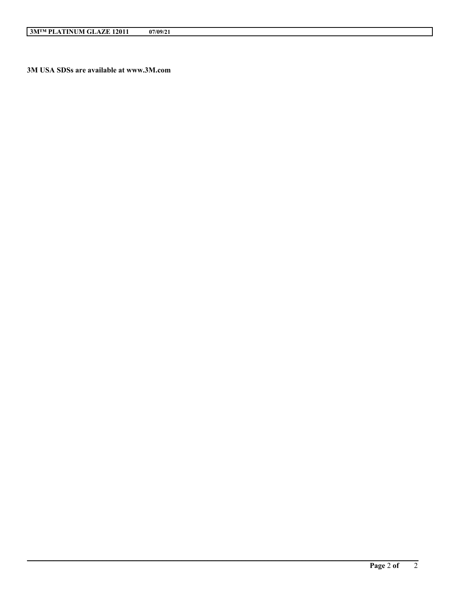**3M USA SDSs are available at www.3M.com**

**\_\_\_\_\_\_\_\_\_\_\_\_\_\_\_\_\_\_\_\_\_\_\_\_\_\_\_\_\_\_\_\_\_\_\_\_\_\_\_\_\_\_\_\_\_\_\_\_\_\_\_\_\_\_\_\_\_\_\_\_\_\_\_\_\_\_\_\_\_\_\_\_\_\_\_\_\_\_\_\_\_\_\_\_\_\_\_\_\_\_\_\_\_\_\_\_\_\_\_\_\_\_\_\_**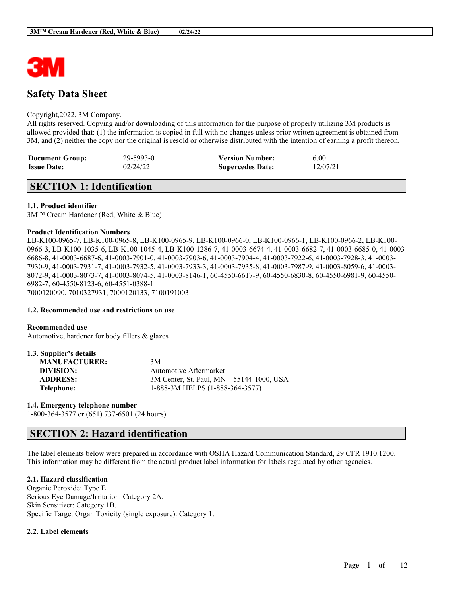

# **Safety Data Sheet**

#### Copyright,2022, 3M Company.

All rights reserved. Copying and/or downloading of this information for the purpose of properly utilizing 3M products is allowed provided that: (1) the information is copied in full with no changes unless prior written agreement is obtained from 3M, and (2) neither the copy nor the original is resold or otherwise distributed with the intention of earning a profit thereon.

| <b>Document Group:</b> | 29-5993-0 | <b>Version Number:</b>  | 6.00     |
|------------------------|-----------|-------------------------|----------|
| <b>Issue Date:</b>     | 02/24/22  | <b>Supercedes Date:</b> | 12/07/21 |

# **SECTION 1: Identification**

### **1.1. Product identifier**

3M™ Cream Hardener (Red, White & Blue)

#### **Product Identification Numbers**

LB-K100-0965-7, LB-K100-0965-8, LB-K100-0965-9, LB-K100-0966-0, LB-K100-0966-1, LB-K100-0966-2, LB-K100- 0966-3, LB-K100-1035-6, LB-K100-1045-4, LB-K100-1286-7, 41-0003-6674-4, 41-0003-6682-7, 41-0003-6685-0, 41-0003- 6686-8, 41-0003-6687-6, 41-0003-7901-0, 41-0003-7903-6, 41-0003-7904-4, 41-0003-7922-6, 41-0003-7928-3, 41-0003- 7930-9, 41-0003-7931-7, 41-0003-7932-5, 41-0003-7933-3, 41-0003-7935-8, 41-0003-7987-9, 41-0003-8059-6, 41-0003- 8072-9, 41-0003-8073-7, 41-0003-8074-5, 41-0003-8146-1, 60-4550-6617-9, 60-4550-6830-8, 60-4550-6981-9, 60-4550- 6982-7, 60-4550-8123-6, 60-4551-0388-1 7000120090, 7010327931, 7000120133, 7100191003

#### **1.2. Recommended use and restrictions on use**

**Recommended use** Automotive, hardener for body fillers & glazes

| 3M                                      |
|-----------------------------------------|
| Automotive Aftermarket                  |
| 3M Center, St. Paul, MN 55144-1000, USA |
| 1-888-3M HELPS (1-888-364-3577)         |
|                                         |

#### **1.4. Emergency telephone number**

1-800-364-3577 or (651) 737-6501 (24 hours)

# **SECTION 2: Hazard identification**

The label elements below were prepared in accordance with OSHA Hazard Communication Standard, 29 CFR 1910.1200. This information may be different from the actual product label information for labels regulated by other agencies.

 $\mathcal{L}_\mathcal{L} = \mathcal{L}_\mathcal{L} = \mathcal{L}_\mathcal{L} = \mathcal{L}_\mathcal{L} = \mathcal{L}_\mathcal{L} = \mathcal{L}_\mathcal{L} = \mathcal{L}_\mathcal{L} = \mathcal{L}_\mathcal{L} = \mathcal{L}_\mathcal{L} = \mathcal{L}_\mathcal{L} = \mathcal{L}_\mathcal{L} = \mathcal{L}_\mathcal{L} = \mathcal{L}_\mathcal{L} = \mathcal{L}_\mathcal{L} = \mathcal{L}_\mathcal{L} = \mathcal{L}_\mathcal{L} = \mathcal{L}_\mathcal{L}$ 

# **2.1. Hazard classification**

Organic Peroxide: Type E. Serious Eye Damage/Irritation: Category 2A. Skin Sensitizer: Category 1B. Specific Target Organ Toxicity (single exposure): Category 1.

#### **2.2. Label elements**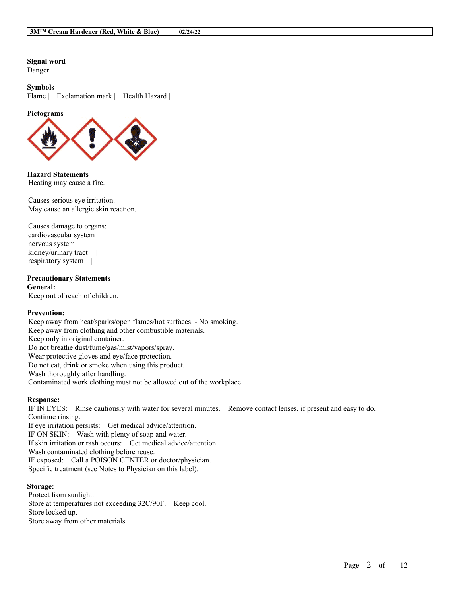**Signal word** Danger

#### **Symbols**

Flame | Exclamation mark | Health Hazard |

**Pictograms**



**Hazard Statements** Heating may cause a fire.

Causes serious eye irritation. May cause an allergic skin reaction.

Causes damage to organs: cardiovascular system | nervous system | kidney/urinary tract | respiratory system |

#### **Precautionary Statements General:**

Keep out of reach of children.

#### **Prevention:**

Keep away from heat/sparks/open flames/hot surfaces. - No smoking. Keep away from clothing and other combustible materials. Keep only in original container. Do not breathe dust/fume/gas/mist/vapors/spray. Wear protective gloves and eye/face protection. Do not eat, drink or smoke when using this product. Wash thoroughly after handling. Contaminated work clothing must not be allowed out of the workplace.

#### **Response:**

IF IN EYES: Rinse cautiously with water for several minutes. Remove contact lenses, if present and easy to do. Continue rinsing. If eye irritation persists: Get medical advice/attention. IF ON SKIN: Wash with plenty of soap and water. If skin irritation or rash occurs: Get medical advice/attention. Wash contaminated clothing before reuse. IF exposed: Call a POISON CENTER or doctor/physician. Specific treatment (see Notes to Physician on this label).

 $\mathcal{L}_\mathcal{L} = \mathcal{L}_\mathcal{L} = \mathcal{L}_\mathcal{L} = \mathcal{L}_\mathcal{L} = \mathcal{L}_\mathcal{L} = \mathcal{L}_\mathcal{L} = \mathcal{L}_\mathcal{L} = \mathcal{L}_\mathcal{L} = \mathcal{L}_\mathcal{L} = \mathcal{L}_\mathcal{L} = \mathcal{L}_\mathcal{L} = \mathcal{L}_\mathcal{L} = \mathcal{L}_\mathcal{L} = \mathcal{L}_\mathcal{L} = \mathcal{L}_\mathcal{L} = \mathcal{L}_\mathcal{L} = \mathcal{L}_\mathcal{L}$ 

#### **Storage:**

Protect from sunlight. Store at temperatures not exceeding 32C/90F. Keep cool. Store locked up. Store away from other materials.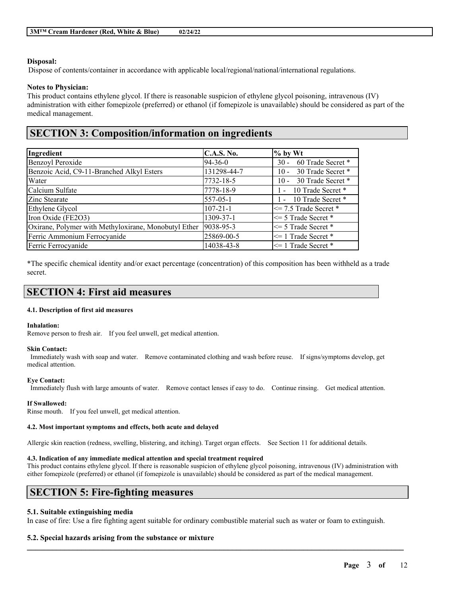### **Disposal:**

Dispose of contents/container in accordance with applicable local/regional/national/international regulations.

### **Notes to Physician:**

This product contains ethylene glycol. If there is reasonable suspicion of ethylene glycol poisoning, intravenous (IV) administration with either fomepizole (preferred) or ethanol (if fomepizole is unavailable) should be considered as part of the medical management.

# **SECTION 3: Composition/information on ingredients**

| Ingredient                                           | <b>C.A.S. No.</b> | $%$ by Wt                   |
|------------------------------------------------------|-------------------|-----------------------------|
| <b>Benzoyl Peroxide</b>                              | 94-36-0           | 60 Trade Secret *<br>$30 -$ |
| Benzoic Acid, C9-11-Branched Alkyl Esters            | 131298-44-7       | 30 Trade Secret *<br>$10 -$ |
| Water                                                | 7732-18-5         | 30 Trade Secret *<br>$10 -$ |
| Calcium Sulfate                                      | 7778-18-9         | - 10 Trade Secret *         |
| Zinc Stearate                                        | 557-05-1          | 1 - 10 Trade Secret *       |
| Ethylene Glycol                                      | $107 - 21 - 1$    | $\le$ 7.5 Trade Secret *    |
| Iron Oxide (FE2O3)                                   | 1309-37-1         | $\leq$ 5 Trade Secret *     |
| Oxirane, Polymer with Methyloxirane, Monobutyl Ether | 9038-95-3         | $\leq$ 5 Trade Secret *     |
| Ferric Ammonium Ferrocyanide                         | 25869-00-5        | $\leq$ 1 Trade Secret *     |
| Ferric Ferrocyanide                                  | 14038-43-8        | $\leq$ 1 Trade Secret *     |

\*The specific chemical identity and/or exact percentage (concentration) of this composition has been withheld as a trade secret.

# **SECTION 4: First aid measures**

#### **4.1. Description of first aid measures**

#### **Inhalation:**

Remove person to fresh air. If you feel unwell, get medical attention.

#### **Skin Contact:**

Immediately wash with soap and water. Remove contaminated clothing and wash before reuse. If signs/symptoms develop, get medical attention.

#### **Eye Contact:**

Immediately flush with large amounts of water. Remove contact lenses if easy to do. Continue rinsing. Get medical attention.

#### **If Swallowed:**

Rinse mouth. If you feel unwell, get medical attention.

#### **4.2. Most important symptoms and effects, both acute and delayed**

Allergic skin reaction (redness, swelling, blistering, and itching). Target organ effects. See Section 11 for additional details.

#### **4.3. Indication of any immediate medical attention and special treatment required**

This product contains ethylene glycol. If there is reasonable suspicion of ethylene glycol poisoning, intravenous (IV) administration with either fomepizole (preferred) or ethanol (if fomepizole is unavailable) should be considered as part of the medical management.

# **SECTION 5: Fire-fighting measures**

#### **5.1. Suitable extinguishing media**

In case of fire: Use a fire fighting agent suitable for ordinary combustible material such as water or foam to extinguish.

 $\mathcal{L}_\mathcal{L} = \mathcal{L}_\mathcal{L} = \mathcal{L}_\mathcal{L} = \mathcal{L}_\mathcal{L} = \mathcal{L}_\mathcal{L} = \mathcal{L}_\mathcal{L} = \mathcal{L}_\mathcal{L} = \mathcal{L}_\mathcal{L} = \mathcal{L}_\mathcal{L} = \mathcal{L}_\mathcal{L} = \mathcal{L}_\mathcal{L} = \mathcal{L}_\mathcal{L} = \mathcal{L}_\mathcal{L} = \mathcal{L}_\mathcal{L} = \mathcal{L}_\mathcal{L} = \mathcal{L}_\mathcal{L} = \mathcal{L}_\mathcal{L}$ 

#### **5.2. Special hazards arising from the substance or mixture**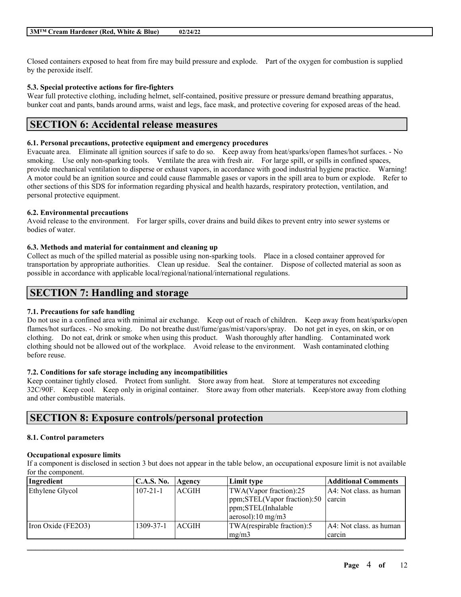Closed containers exposed to heat from fire may build pressure and explode. Part of the oxygen for combustion is supplied by the peroxide itself.

### **5.3. Special protective actions for fire-fighters**

Wear full protective clothing, including helmet, self-contained, positive pressure or pressure demand breathing apparatus, bunker coat and pants, bands around arms, waist and legs, face mask, and protective covering for exposed areas of the head.

# **SECTION 6: Accidental release measures**

### **6.1. Personal precautions, protective equipment and emergency procedures**

Evacuate area. Eliminate all ignition sources if safe to do so. Keep away from heat/sparks/open flames/hot surfaces. - No smoking. Use only non-sparking tools. Ventilate the area with fresh air. For large spill, or spills in confined spaces, provide mechanical ventilation to disperse or exhaust vapors, in accordance with good industrial hygiene practice. Warning! A motor could be an ignition source and could cause flammable gases or vapors in the spill area to burn or explode. Refer to other sections of this SDS for information regarding physical and health hazards, respiratory protection, ventilation, and personal protective equipment.

# **6.2. Environmental precautions**

Avoid release to the environment. For larger spills, cover drains and build dikes to prevent entry into sewer systems or bodies of water.

### **6.3. Methods and material for containment and cleaning up**

Collect as much of the spilled material as possible using non-sparking tools. Place in a closed container approved for transportation by appropriate authorities. Clean up residue. Seal the container. Dispose of collected material as soon as possible in accordance with applicable local/regional/national/international regulations.

# **SECTION 7: Handling and storage**

# **7.1. Precautions for safe handling**

Do not use in a confined area with minimal air exchange. Keep out of reach of children. Keep away from heat/sparks/open flames/hot surfaces. - No smoking. Do not breathe dust/fume/gas/mist/vapors/spray. Do not get in eyes, on skin, or on clothing. Do not eat, drink or smoke when using this product. Wash thoroughly after handling. Contaminated work clothing should not be allowed out of the workplace. Avoid release to the environment. Wash contaminated clothing before reuse.

### **7.2. Conditions for safe storage including any incompatibilities**

Keep container tightly closed. Protect from sunlight. Store away from heat. Store at temperatures not exceeding 32C/90F. Keep cool. Keep only in original container. Store away from other materials. Keep/store away from clothing and other combustible materials.

# **SECTION 8: Exposure controls/personal protection**

# **8.1. Control parameters**

#### **Occupational exposure limits**

If a component is disclosed in section 3 but does not appear in the table below, an occupational exposure limit is not available for the component.

| Ingredient         | <b>C.A.S. No.</b> | Agency       | Limit type                  | Additional Comments     |
|--------------------|-------------------|--------------|-----------------------------|-------------------------|
| Ethylene Glycol    | $107 - 21 - 1$    | <b>ACGIH</b> | TWA(Vapor fraction):25      | A4: Not class. as human |
|                    |                   |              | ppm;STEL(Vapor fraction):50 | carcin                  |
|                    |                   |              | ppm;STEL(Inhalable          |                         |
|                    |                   |              | $ aerosol$ : 10 mg/m3       |                         |
| Iron Oxide (FE2O3) | 1309-37-1         | <b>ACGIH</b> | TWA(respirable fraction):5  | A4: Not class. as human |
|                    |                   |              | mg/m3                       | carcin                  |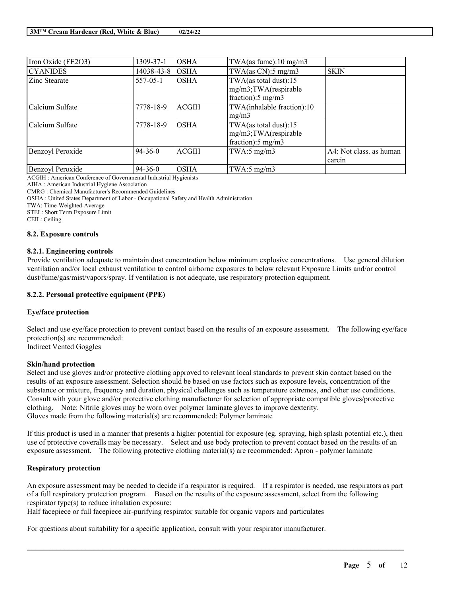| Iron Oxide (FE2O3) | 1309-37-1      | <b>OSHA</b>  | TWA(as fume):10 mg/m3         |                         |
|--------------------|----------------|--------------|-------------------------------|-------------------------|
| <b>CYANIDES</b>    | 14038-43-8     | <b>OSHA</b>  | TWA(as $CN$ ):5 mg/m3         | <b>SKIN</b>             |
| Zinc Stearate      | $557 - 05 - 1$ | <b>OSHA</b>  | TWA(as total dust):15         |                         |
|                    |                |              | mg/m3;TWA(respirable          |                         |
|                    |                |              | fraction): $5 \text{ mg/m}$ 3 |                         |
| Calcium Sulfate    | 7778-18-9      | <b>ACGIH</b> | TWA(inhalable fraction):10    |                         |
|                    |                |              | mg/m3                         |                         |
| Calcium Sulfate    | 7778-18-9      | <b>OSHA</b>  | TWA $(as$ total dust):15      |                         |
|                    |                |              | $mg/m3$ ; TWA(respirable      |                         |
|                    |                |              | fraction): $5 \text{ mg/m}$ 3 |                         |
| Benzoyl Peroxide   | $94 - 36 - 0$  | <b>ACGIH</b> | TWA:5 $mg/m3$                 | A4: Not class, as human |
|                    |                |              |                               | carcin                  |
| Benzoyl Peroxide   | $94 - 36 - 0$  | <b>OSHA</b>  | TWA:5 $mg/m3$                 |                         |

ACGIH : American Conference of Governmental Industrial Hygienists

AIHA : American Industrial Hygiene Association

CMRG : Chemical Manufacturer's Recommended Guidelines

OSHA : United States Department of Labor - Occupational Safety and Health Administration

TWA: Time-Weighted-Average

STEL: Short Term Exposure Limit

CEIL: Ceiling

#### **8.2. Exposure controls**

### **8.2.1. Engineering controls**

Provide ventilation adequate to maintain dust concentration below minimum explosive concentrations. Use general dilution ventilation and/or local exhaust ventilation to control airborne exposures to below relevant Exposure Limits and/or control dust/fume/gas/mist/vapors/spray. If ventilation is not adequate, use respiratory protection equipment.

### **8.2.2. Personal protective equipment (PPE)**

# **Eye/face protection**

Select and use eye/face protection to prevent contact based on the results of an exposure assessment. The following eye/face protection(s) are recommended: Indirect Vented Goggles

#### **Skin/hand protection**

Select and use gloves and/or protective clothing approved to relevant local standards to prevent skin contact based on the results of an exposure assessment. Selection should be based on use factors such as exposure levels, concentration of the substance or mixture, frequency and duration, physical challenges such as temperature extremes, and other use conditions. Consult with your glove and/or protective clothing manufacturer for selection of appropriate compatible gloves/protective clothing. Note: Nitrile gloves may be worn over polymer laminate gloves to improve dexterity. Gloves made from the following material(s) are recommended: Polymer laminate

If this product is used in a manner that presents a higher potential for exposure (eg. spraying, high splash potential etc.), then use of protective coveralls may be necessary. Select and use body protection to prevent contact based on the results of an exposure assessment. The following protective clothing material(s) are recommended: Apron - polymer laminate

# **Respiratory protection**

An exposure assessment may be needed to decide if a respirator is required. If a respirator is needed, use respirators as part of a full respiratory protection program. Based on the results of the exposure assessment, select from the following respirator type(s) to reduce inhalation exposure:

 $\mathcal{L}_\mathcal{L} = \mathcal{L}_\mathcal{L} = \mathcal{L}_\mathcal{L} = \mathcal{L}_\mathcal{L} = \mathcal{L}_\mathcal{L} = \mathcal{L}_\mathcal{L} = \mathcal{L}_\mathcal{L} = \mathcal{L}_\mathcal{L} = \mathcal{L}_\mathcal{L} = \mathcal{L}_\mathcal{L} = \mathcal{L}_\mathcal{L} = \mathcal{L}_\mathcal{L} = \mathcal{L}_\mathcal{L} = \mathcal{L}_\mathcal{L} = \mathcal{L}_\mathcal{L} = \mathcal{L}_\mathcal{L} = \mathcal{L}_\mathcal{L}$ 

Half facepiece or full facepiece air-purifying respirator suitable for organic vapors and particulates

For questions about suitability for a specific application, consult with your respirator manufacturer.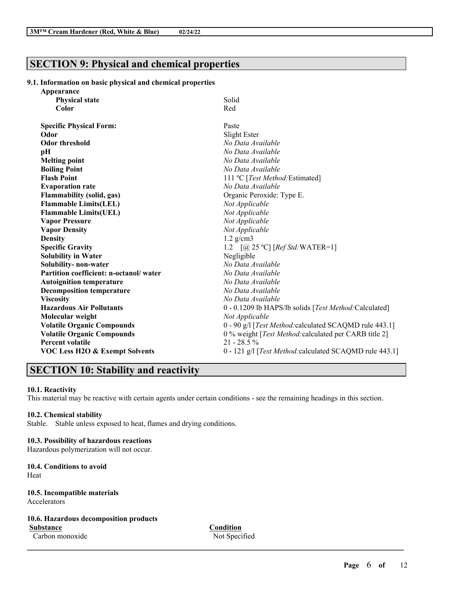# **SECTION 9: Physical and chemical properties**

# **9.1. Information on basic physical and chemical properties**

| Appearance                                |                                                                 |
|-------------------------------------------|-----------------------------------------------------------------|
| <b>Physical state</b>                     | Solid                                                           |
| Color                                     | Red                                                             |
| <b>Specific Physical Form:</b>            | Paste                                                           |
| Odor                                      | Slight Ester                                                    |
| <b>Odor threshold</b>                     | No Data Available                                               |
| pН                                        | No Data Available                                               |
| <b>Melting point</b>                      | No Data Available                                               |
| <b>Boiling Point</b>                      | No Data Available                                               |
| <b>Flash Point</b>                        | 111 °C [Test Method: Estimated]                                 |
| <b>Evaporation rate</b>                   | No Data Available                                               |
| <b>Flammability (solid, gas)</b>          | Organic Peroxide: Type E.                                       |
| <b>Flammable Limits(LEL)</b>              | Not Applicable                                                  |
| <b>Flammable Limits(UEL)</b>              | Not Applicable                                                  |
| <b>Vapor Pressure</b>                     | Not Applicable                                                  |
| <b>Vapor Density</b>                      | Not Applicable                                                  |
| <b>Density</b>                            | $1.2$ g/cm3                                                     |
| <b>Specific Gravity</b>                   | 1.2 $[@ 25 °C] [Ref Std: WATER=1]$                              |
| <b>Solubility in Water</b>                | Negligible                                                      |
| Solubility- non-water                     | No Data Available                                               |
| Partition coefficient: n-octanol/water    | No Data Available                                               |
| <b>Autoignition temperature</b>           | No Data Available                                               |
| <b>Decomposition temperature</b>          | No Data Available                                               |
| <b>Viscosity</b>                          | No Data Available                                               |
| <b>Hazardous Air Pollutants</b>           | 0 - 0.1209 lb HAPS/lb solids [ <i>Test Method</i> :Calculated]  |
| Molecular weight                          | Not Applicable                                                  |
| <b>Volatile Organic Compounds</b>         | 0 - 90 g/l [Test Method: calculated SCAQMD rule 443.1]          |
| <b>Volatile Organic Compounds</b>         | 0 % weight [Test Method: calculated per CARB title 2]           |
| <b>Percent volatile</b>                   | $21 - 28.5 \%$                                                  |
| <b>VOC Less H2O &amp; Exempt Solvents</b> | 0 - 121 g/l [ <i>Test Method:calculated SCAQMD rule 443.1</i> ] |

# **SECTION 10: Stability and reactivity**

# **10.1. Reactivity**

This material may be reactive with certain agents under certain conditions - see the remaining headings in this section.

# **10.2. Chemical stability**

Stable. Stable unless exposed to heat, flames and drying conditions.

#### **10.3. Possibility of hazardous reactions**

Hazardous polymerization will not occur.

**10.4. Conditions to avoid** Heat

# **10.5. Incompatible materials** Accelerators

# **10.6. Hazardous decomposition products Substance Condition**

Carbon monoxide Not Specified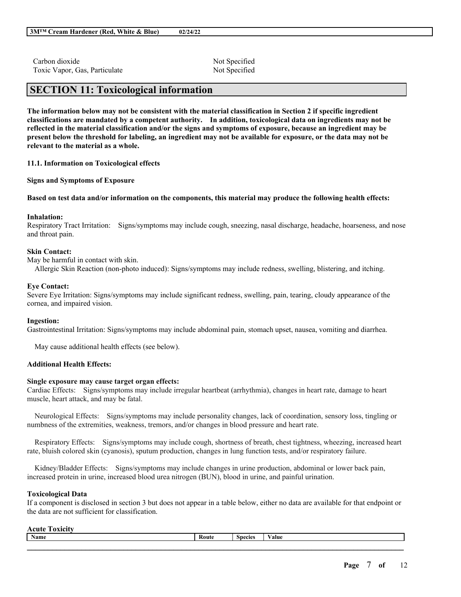Carbon dioxide Not Specified Toxic Vapor, Gas, Particulate Not Specified

# **SECTION 11: Toxicological information**

The information below may not be consistent with the material classification in Section 2 if specific ingredient **classifications are mandated by a competent authority. In addition, toxicological data on ingredients may not be** reflected in the material classification and/or the signs and symptoms of exposure, because an ingredient may be present below the threshold for labeling, an ingredient may not be available for exposure, or the data may not be **relevant to the material as a whole.**

**11.1. Information on Toxicological effects**

**Signs and Symptoms of Exposure**

Based on test data and/or information on the components, this material may produce the following health effects:

#### **Inhalation:**

Respiratory Tract Irritation: Signs/symptoms may include cough, sneezing, nasal discharge, headache, hoarseness, and nose and throat pain.

### **Skin Contact:**

May be harmful in contact with skin.

Allergic Skin Reaction (non-photo induced): Signs/symptoms may include redness, swelling, blistering, and itching.

### **Eye Contact:**

Severe Eye Irritation: Signs/symptoms may include significant redness, swelling, pain, tearing, cloudy appearance of the cornea, and impaired vision.

#### **Ingestion:**

Gastrointestinal Irritation: Signs/symptoms may include abdominal pain, stomach upset, nausea, vomiting and diarrhea.

May cause additional health effects (see below).

#### **Additional Health Effects:**

#### **Single exposure may cause target organ effects:**

Cardiac Effects: Signs/symptoms may include irregular heartbeat (arrhythmia), changes in heart rate, damage to heart muscle, heart attack, and may be fatal.

Neurological Effects: Signs/symptoms may include personality changes, lack of coordination, sensory loss, tingling or numbness of the extremities, weakness, tremors, and/or changes in blood pressure and heart rate.

Respiratory Effects: Signs/symptoms may include cough, shortness of breath, chest tightness, wheezing, increased heart rate, bluish colored skin (cyanosis), sputum production, changes in lung function tests, and/or respiratory failure.

Kidney/Bladder Effects: Signs/symptoms may include changes in urine production, abdominal or lower back pain, increased protein in urine, increased blood urea nitrogen (BUN), blood in urine, and painful urination.

#### **Toxicological Data**

If a component is disclosed in section 3 but does not appear in a table below, either no data are available for that endpoint or the data are not sufficient for classification.

#### **Acute Toxicity**

| <b>Name</b> | Route | <b>Species</b> | 'alue |
|-------------|-------|----------------|-------|
|             |       |                |       |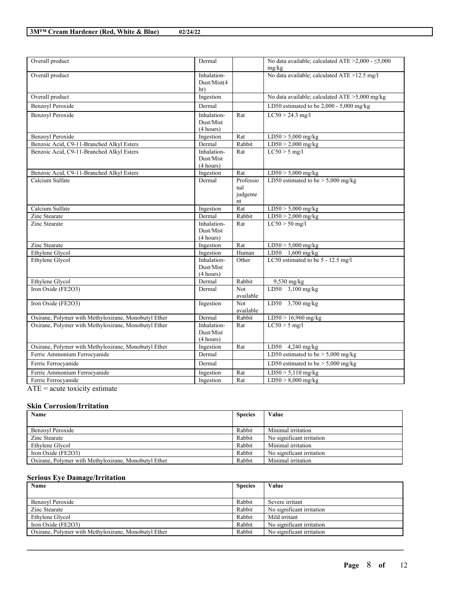| No data available; calculated ATE >12.5 mg/l<br>Overall product<br>Inhalation-<br>Dust/Mist(4<br>hr)<br>Ingestion<br>Overall product<br>No data available; calculated ATE >5,000 mg/kg<br><b>Benzoyl Peroxide</b><br>LD50 estimated to be $2,000 - 5,000$ mg/kg<br>Dermal<br><b>Benzoyl Peroxide</b><br>$LC50 > 24.3$ mg/l<br>Inhalation-<br>Rat<br>Dust/Mist<br>(4 hours)<br><b>Benzovl Peroxide</b><br>Ingestion<br>Rat<br>$LD50 > 5,000$ mg/kg<br>Benzoic Acid, C9-11-Branched Alkyl Esters<br>Rabbit<br>$LD50 > 2,000$ mg/kg<br>Dermal<br>Benzoic Acid, C9-11-Branched Alkyl Esters<br>Inhalation-<br>$LC50 > 5$ mg/l<br>Rat<br>Dust/Mist<br>(4 hours)<br>Ingestion<br>Benzoic Acid, C9-11-Branched Alkyl Esters<br>Rat<br>$LD50 > 5,000$ mg/kg<br>Calcium Sulfate<br>Professio<br>LD50 estimated to be $> 5,000$ mg/kg<br>Dermal<br>nal<br>judgeme<br>nt<br>Calcium Sulfate<br>Ingestion<br>Rat<br>$LD50 > 5,000$ mg/kg<br>Zinc Stearate<br>Dermal<br>Rabbit<br>$LD50 > 2,000$ mg/kg<br>$LC50 > 50$ mg/l<br>Zinc Stearate<br>Inhalation-<br>Rat<br>Dust/Mist<br>(4 hours)<br>Zinc Stearate<br>Ingestion<br>Rat<br>$LD50 > 5,000$ mg/kg<br>Ethylene Glycol<br>Ingestion<br>Human<br>LD50 1,600 mg/kg<br>Ethylene Glycol<br>Inhalation-<br>LC50 estimated to be 5 - 12.5 mg/l<br>Other<br>Dust/Mist | Overall product | Dermal | No data available; calculated ATE $\geq 2,000 - 5,000$<br>mg/kg |
|--------------------------------------------------------------------------------------------------------------------------------------------------------------------------------------------------------------------------------------------------------------------------------------------------------------------------------------------------------------------------------------------------------------------------------------------------------------------------------------------------------------------------------------------------------------------------------------------------------------------------------------------------------------------------------------------------------------------------------------------------------------------------------------------------------------------------------------------------------------------------------------------------------------------------------------------------------------------------------------------------------------------------------------------------------------------------------------------------------------------------------------------------------------------------------------------------------------------------------------------------------------------------------------------------------|-----------------|--------|-----------------------------------------------------------------|
|                                                                                                                                                                                                                                                                                                                                                                                                                                                                                                                                                                                                                                                                                                                                                                                                                                                                                                                                                                                                                                                                                                                                                                                                                                                                                                        |                 |        |                                                                 |
|                                                                                                                                                                                                                                                                                                                                                                                                                                                                                                                                                                                                                                                                                                                                                                                                                                                                                                                                                                                                                                                                                                                                                                                                                                                                                                        |                 |        |                                                                 |
|                                                                                                                                                                                                                                                                                                                                                                                                                                                                                                                                                                                                                                                                                                                                                                                                                                                                                                                                                                                                                                                                                                                                                                                                                                                                                                        |                 |        |                                                                 |
|                                                                                                                                                                                                                                                                                                                                                                                                                                                                                                                                                                                                                                                                                                                                                                                                                                                                                                                                                                                                                                                                                                                                                                                                                                                                                                        |                 |        |                                                                 |
|                                                                                                                                                                                                                                                                                                                                                                                                                                                                                                                                                                                                                                                                                                                                                                                                                                                                                                                                                                                                                                                                                                                                                                                                                                                                                                        |                 |        |                                                                 |
|                                                                                                                                                                                                                                                                                                                                                                                                                                                                                                                                                                                                                                                                                                                                                                                                                                                                                                                                                                                                                                                                                                                                                                                                                                                                                                        |                 |        |                                                                 |
|                                                                                                                                                                                                                                                                                                                                                                                                                                                                                                                                                                                                                                                                                                                                                                                                                                                                                                                                                                                                                                                                                                                                                                                                                                                                                                        |                 |        |                                                                 |
|                                                                                                                                                                                                                                                                                                                                                                                                                                                                                                                                                                                                                                                                                                                                                                                                                                                                                                                                                                                                                                                                                                                                                                                                                                                                                                        |                 |        |                                                                 |
|                                                                                                                                                                                                                                                                                                                                                                                                                                                                                                                                                                                                                                                                                                                                                                                                                                                                                                                                                                                                                                                                                                                                                                                                                                                                                                        |                 |        |                                                                 |
|                                                                                                                                                                                                                                                                                                                                                                                                                                                                                                                                                                                                                                                                                                                                                                                                                                                                                                                                                                                                                                                                                                                                                                                                                                                                                                        |                 |        |                                                                 |
|                                                                                                                                                                                                                                                                                                                                                                                                                                                                                                                                                                                                                                                                                                                                                                                                                                                                                                                                                                                                                                                                                                                                                                                                                                                                                                        |                 |        |                                                                 |
|                                                                                                                                                                                                                                                                                                                                                                                                                                                                                                                                                                                                                                                                                                                                                                                                                                                                                                                                                                                                                                                                                                                                                                                                                                                                                                        |                 |        |                                                                 |
|                                                                                                                                                                                                                                                                                                                                                                                                                                                                                                                                                                                                                                                                                                                                                                                                                                                                                                                                                                                                                                                                                                                                                                                                                                                                                                        |                 |        |                                                                 |
|                                                                                                                                                                                                                                                                                                                                                                                                                                                                                                                                                                                                                                                                                                                                                                                                                                                                                                                                                                                                                                                                                                                                                                                                                                                                                                        |                 |        |                                                                 |
|                                                                                                                                                                                                                                                                                                                                                                                                                                                                                                                                                                                                                                                                                                                                                                                                                                                                                                                                                                                                                                                                                                                                                                                                                                                                                                        |                 |        |                                                                 |
|                                                                                                                                                                                                                                                                                                                                                                                                                                                                                                                                                                                                                                                                                                                                                                                                                                                                                                                                                                                                                                                                                                                                                                                                                                                                                                        |                 |        |                                                                 |
|                                                                                                                                                                                                                                                                                                                                                                                                                                                                                                                                                                                                                                                                                                                                                                                                                                                                                                                                                                                                                                                                                                                                                                                                                                                                                                        |                 |        |                                                                 |
|                                                                                                                                                                                                                                                                                                                                                                                                                                                                                                                                                                                                                                                                                                                                                                                                                                                                                                                                                                                                                                                                                                                                                                                                                                                                                                        |                 |        |                                                                 |
|                                                                                                                                                                                                                                                                                                                                                                                                                                                                                                                                                                                                                                                                                                                                                                                                                                                                                                                                                                                                                                                                                                                                                                                                                                                                                                        |                 |        |                                                                 |
|                                                                                                                                                                                                                                                                                                                                                                                                                                                                                                                                                                                                                                                                                                                                                                                                                                                                                                                                                                                                                                                                                                                                                                                                                                                                                                        |                 |        |                                                                 |
|                                                                                                                                                                                                                                                                                                                                                                                                                                                                                                                                                                                                                                                                                                                                                                                                                                                                                                                                                                                                                                                                                                                                                                                                                                                                                                        |                 |        |                                                                 |
|                                                                                                                                                                                                                                                                                                                                                                                                                                                                                                                                                                                                                                                                                                                                                                                                                                                                                                                                                                                                                                                                                                                                                                                                                                                                                                        |                 |        |                                                                 |
|                                                                                                                                                                                                                                                                                                                                                                                                                                                                                                                                                                                                                                                                                                                                                                                                                                                                                                                                                                                                                                                                                                                                                                                                                                                                                                        |                 |        |                                                                 |
|                                                                                                                                                                                                                                                                                                                                                                                                                                                                                                                                                                                                                                                                                                                                                                                                                                                                                                                                                                                                                                                                                                                                                                                                                                                                                                        |                 |        |                                                                 |
|                                                                                                                                                                                                                                                                                                                                                                                                                                                                                                                                                                                                                                                                                                                                                                                                                                                                                                                                                                                                                                                                                                                                                                                                                                                                                                        |                 |        |                                                                 |
|                                                                                                                                                                                                                                                                                                                                                                                                                                                                                                                                                                                                                                                                                                                                                                                                                                                                                                                                                                                                                                                                                                                                                                                                                                                                                                        |                 |        |                                                                 |
| (4 hours)                                                                                                                                                                                                                                                                                                                                                                                                                                                                                                                                                                                                                                                                                                                                                                                                                                                                                                                                                                                                                                                                                                                                                                                                                                                                                              |                 |        |                                                                 |
| Rabbit<br>Ethylene Glycol<br>Dermal<br>9,530 mg/kg                                                                                                                                                                                                                                                                                                                                                                                                                                                                                                                                                                                                                                                                                                                                                                                                                                                                                                                                                                                                                                                                                                                                                                                                                                                     |                 |        |                                                                 |
| Iron Oxide (FE2O3)<br>Not.<br>LD50 3,100 mg/kg<br>Dermal<br>available                                                                                                                                                                                                                                                                                                                                                                                                                                                                                                                                                                                                                                                                                                                                                                                                                                                                                                                                                                                                                                                                                                                                                                                                                                  |                 |        |                                                                 |
| LD50 3,700 mg/kg<br>Iron Oxide (FE2O3)<br>Ingestion<br>Not                                                                                                                                                                                                                                                                                                                                                                                                                                                                                                                                                                                                                                                                                                                                                                                                                                                                                                                                                                                                                                                                                                                                                                                                                                             |                 |        |                                                                 |
| available                                                                                                                                                                                                                                                                                                                                                                                                                                                                                                                                                                                                                                                                                                                                                                                                                                                                                                                                                                                                                                                                                                                                                                                                                                                                                              |                 |        |                                                                 |
| Oxirane, Polymer with Methyloxirane, Monobutyl Ether<br>Rabbit<br>$LD50 > 16,960$ mg/kg<br>Dermal                                                                                                                                                                                                                                                                                                                                                                                                                                                                                                                                                                                                                                                                                                                                                                                                                                                                                                                                                                                                                                                                                                                                                                                                      |                 |        |                                                                 |
| $LC50 > 5$ mg/l<br>Oxirane, Polymer with Methyloxirane, Monobutyl Ether<br>Inhalation-<br>Rat                                                                                                                                                                                                                                                                                                                                                                                                                                                                                                                                                                                                                                                                                                                                                                                                                                                                                                                                                                                                                                                                                                                                                                                                          |                 |        |                                                                 |
| Dust/Mist                                                                                                                                                                                                                                                                                                                                                                                                                                                                                                                                                                                                                                                                                                                                                                                                                                                                                                                                                                                                                                                                                                                                                                                                                                                                                              |                 |        |                                                                 |
| (4 hours)                                                                                                                                                                                                                                                                                                                                                                                                                                                                                                                                                                                                                                                                                                                                                                                                                                                                                                                                                                                                                                                                                                                                                                                                                                                                                              |                 |        |                                                                 |
| Oxirane, Polymer with Methyloxirane, Monobutyl Ether<br>Ingestion<br>Rat<br>LD50 4,240 mg/kg                                                                                                                                                                                                                                                                                                                                                                                                                                                                                                                                                                                                                                                                                                                                                                                                                                                                                                                                                                                                                                                                                                                                                                                                           |                 |        |                                                                 |
| Ferric Ammonium Ferrocyanide<br>LD50 estimated to be $> 5,000$ mg/kg<br>Dermal                                                                                                                                                                                                                                                                                                                                                                                                                                                                                                                                                                                                                                                                                                                                                                                                                                                                                                                                                                                                                                                                                                                                                                                                                         |                 |        |                                                                 |
| Ferric Ferrocyanide<br>LD50 estimated to be $> 5,000$ mg/kg<br>Dermal                                                                                                                                                                                                                                                                                                                                                                                                                                                                                                                                                                                                                                                                                                                                                                                                                                                                                                                                                                                                                                                                                                                                                                                                                                  |                 |        |                                                                 |
| Ferric Ammonium Ferrocyanide<br>$LD50 > 5,110$ mg/kg<br>Ingestion<br>Rat                                                                                                                                                                                                                                                                                                                                                                                                                                                                                                                                                                                                                                                                                                                                                                                                                                                                                                                                                                                                                                                                                                                                                                                                                               |                 |        |                                                                 |
| Ferric Ferrocyanide<br>Ingestion<br>$LD50 > 8,000$ mg/kg<br>Rat                                                                                                                                                                                                                                                                                                                                                                                                                                                                                                                                                                                                                                                                                                                                                                                                                                                                                                                                                                                                                                                                                                                                                                                                                                        |                 |        |                                                                 |

ATE = acute toxicity estimate

# **Skin Corrosion/Irritation**

| Name                                                 | <b>Species</b> | Value                     |
|------------------------------------------------------|----------------|---------------------------|
|                                                      |                |                           |
| Benzovl Peroxide                                     | Rabbit         | Minimal irritation        |
| Zinc Stearate                                        | Rabbit         | No significant irritation |
| Ethylene Glycol                                      | Rabbit         | Minimal irritation        |
| Iron Oxide $(FE2O3)$                                 | Rabbit         | No significant irritation |
| Oxirane, Polymer with Methyloxirane, Monobutyl Ether | Rabbit         | Minimal irritation        |

# **Serious Eye Damage/Irritation**

| Name                                                 | <b>Species</b> | Value                     |
|------------------------------------------------------|----------------|---------------------------|
|                                                      |                |                           |
| Benzovl Peroxide                                     | Rabbit         | Severe irritant           |
| Zinc Stearate                                        | Rabbit         | No significant irritation |
| Ethylene Glycol                                      | Rabbit         | Mild irritant             |
| Iron Oxide ( $FE2O3$ )                               | Rabbit         | No significant irritation |
| Oxirane, Polymer with Methyloxirane, Monobutyl Ether | Rabbit         | No significant irritation |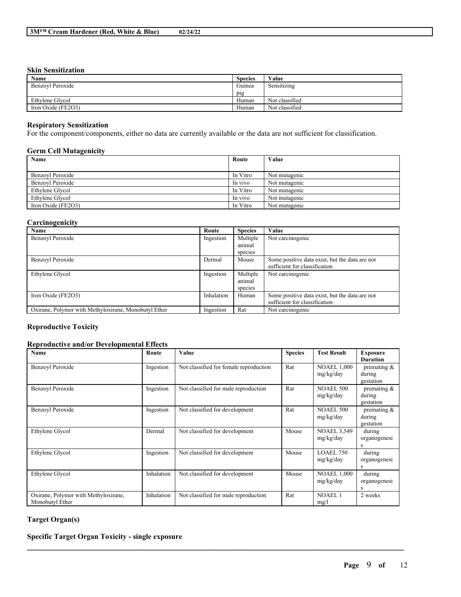#### **Skin Sensitization**

| Name               | <b>Species</b> | Value          |
|--------------------|----------------|----------------|
| Benzoyl Peroxide   | Guinea         | Sensitizing    |
|                    | pig            |                |
| Ethylene Glycol    | Human          | Not classified |
| Iron Oxide (FE2O3) | Human          | Not classified |

# **Respiratory Sensitization**

For the component/components, either no data are currently available or the data are not sufficient for classification.

### **Germ Cell Mutagenicity**

| Name               | Route    | Value         |
|--------------------|----------|---------------|
|                    |          |               |
| Benzoyl Peroxide   | In Vitro | Not mutagenic |
| Benzovl Peroxide   | In vivo  | Not mutagenic |
| Ethylene Glycol    | In Vitro | Not mutagenic |
| Ethylene Glycol    | In vivo  | Not mutagenic |
| Iron Oxide (FE2O3) | In Vitro | Not mutagenic |

#### **Carcinogenicity**

| Name                                                 | Route      | <b>Species</b> | Value                                          |
|------------------------------------------------------|------------|----------------|------------------------------------------------|
| Benzovl Peroxide                                     | Ingestion  | Multiple       | Not carcinogenic                               |
|                                                      |            | animal         |                                                |
|                                                      |            | species        |                                                |
| Benzovl Peroxide                                     | Dermal     | Mouse          | Some positive data exist, but the data are not |
|                                                      |            |                | sufficient for classification                  |
| Ethylene Glycol                                      | Ingestion  | Multiple       | Not carcinogenic                               |
|                                                      |            | animal         |                                                |
|                                                      |            | species        |                                                |
| Iron Oxide ( $FE2O3$ )                               | Inhalation | Human          | Some positive data exist, but the data are not |
|                                                      |            |                | sufficient for classification                  |
| Oxirane, Polymer with Methyloxirane, Monobutyl Ether | Ingestion  | Rat            | Not carcinogenic                               |

### **Reproductive Toxicity**

# **Reproductive and/or Developmental Effects**

| <b>Name</b>                                             | Route      | Value                                  | <b>Species</b> | <b>Test Result</b>              | <b>Exposure</b><br><b>Duration</b>    |
|---------------------------------------------------------|------------|----------------------------------------|----------------|---------------------------------|---------------------------------------|
| Benzoyl Peroxide                                        | Ingestion  | Not classified for female reproduction | Rat            | <b>NOAEL 1.000</b><br>mg/kg/day | premating $\&$<br>during<br>gestation |
| Benzoyl Peroxide                                        | Ingestion  | Not classified for male reproduction   | Rat            | <b>NOAEL 500</b><br>mg/kg/day   | premating $\&$<br>during<br>gestation |
| Benzoyl Peroxide                                        | Ingestion  | Not classified for development         | Rat            | <b>NOAEL 500</b><br>mg/kg/day   | premating $\&$<br>during<br>gestation |
| Ethylene Glycol                                         | Dermal     | Not classified for development         | Mouse          | <b>NOAEL 3,549</b><br>mg/kg/day | during<br>organogenesi<br>S           |
| Ethylene Glycol                                         | Ingestion  | Not classified for development         | Mouse          | LOAEL 750<br>mg/kg/day          | during<br>organogenesi<br>S           |
| Ethylene Glycol                                         | Inhalation | Not classified for development         | Mouse          | <b>NOAEL 1,000</b><br>mg/kg/day | during<br>organogenesi<br>S           |
| Oxirane, Polymer with Methyloxirane,<br>Monobutyl Ether | Inhalation | Not classified for male reproduction   | Rat            | <b>NOAEL1</b><br>mg/l           | 2 weeks                               |

 $\mathcal{L}_\mathcal{L} = \mathcal{L}_\mathcal{L} = \mathcal{L}_\mathcal{L} = \mathcal{L}_\mathcal{L} = \mathcal{L}_\mathcal{L} = \mathcal{L}_\mathcal{L} = \mathcal{L}_\mathcal{L} = \mathcal{L}_\mathcal{L} = \mathcal{L}_\mathcal{L} = \mathcal{L}_\mathcal{L} = \mathcal{L}_\mathcal{L} = \mathcal{L}_\mathcal{L} = \mathcal{L}_\mathcal{L} = \mathcal{L}_\mathcal{L} = \mathcal{L}_\mathcal{L} = \mathcal{L}_\mathcal{L} = \mathcal{L}_\mathcal{L}$ 

# **Target Organ(s)**

**Specific Target Organ Toxicity - single exposure**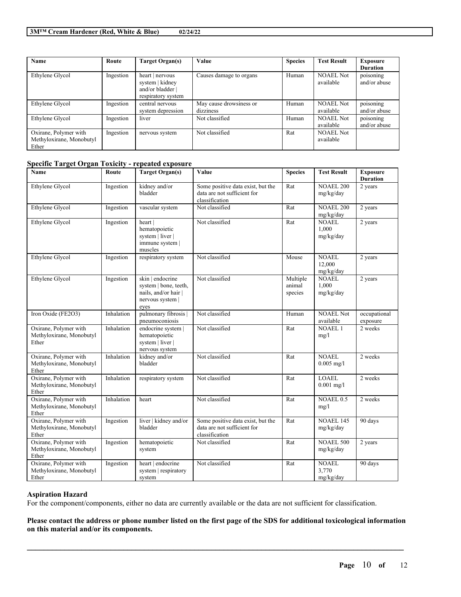| Name                                                       | Route     | Target Organ(s)                                                            | Value                                | <b>Species</b> | <b>Test Result</b>            | Exposure<br><b>Duration</b> |
|------------------------------------------------------------|-----------|----------------------------------------------------------------------------|--------------------------------------|----------------|-------------------------------|-----------------------------|
| Ethylene Glycol                                            | Ingestion | heart   nervous<br>system   kidney<br>and/or bladder<br>respiratory system | Causes damage to organs              | Human          | <b>NOAEL Not</b><br>available | poisoning<br>and/or abuse   |
| Ethylene Glycol                                            | Ingestion | central nervous<br>system depression                                       | May cause drowsiness or<br>dizziness | Human          | <b>NOAEL Not</b><br>available | poisoning<br>and/or abuse   |
| Ethylene Glycol                                            | Ingestion | liver                                                                      | Not classified                       | Human          | <b>NOAEL Not</b><br>available | poisoning<br>and/or abuse   |
| Oxirane, Polymer with<br>Methyloxirane, Monobutyl<br>Ether | Ingestion | nervous system                                                             | Not classified                       | Rat            | <b>NOAEL Not</b><br>available |                             |

# **Specific Target Organ Toxicity - repeated exposure**

| Name                                                       | Route      | <b>Target Organ(s)</b>                                                                        | Value                                                                              | <b>Species</b>                | <b>Test Result</b>                  | <b>Exposure</b><br><b>Duration</b> |
|------------------------------------------------------------|------------|-----------------------------------------------------------------------------------------------|------------------------------------------------------------------------------------|-------------------------------|-------------------------------------|------------------------------------|
| Ethylene Glycol                                            | Ingestion  | kidney and/or<br>bladder                                                                      | Some positive data exist, but the<br>data are not sufficient for<br>classification | Rat                           | <b>NOAEL 200</b><br>mg/kg/day       | 2 years                            |
| Ethylene Glycol                                            | Ingestion  | vascular system                                                                               | Not classified                                                                     | Rat                           | <b>NOAEL 200</b><br>mg/kg/day       | 2 years                            |
| Ethylene Glycol                                            | Ingestion  | heart  <br>hematopoietic<br>system   liver  <br>immune system  <br>muscles                    | Not classified                                                                     | Rat                           | <b>NOAEL</b><br>1,000<br>mg/kg/day  | 2 years                            |
| Ethylene Glycol                                            | Ingestion  | respiratory system                                                                            | Not classified                                                                     | Mouse                         | <b>NOAEL</b><br>12,000<br>mg/kg/day | 2 years                            |
| Ethylene Glycol                                            | Ingestion  | skin   endocrine<br>system   bone, teeth,<br>nails, and/or hair  <br>nervous system  <br>eyes | Not classified                                                                     | Multiple<br>animal<br>species | <b>NOAEL</b><br>1,000<br>mg/kg/day  | 2 years                            |
| Iron Oxide (FE2O3)                                         | Inhalation | pulmonary fibrosis  <br>pneumoconiosis                                                        | Not classified                                                                     | Human                         | <b>NOAEL Not</b><br>available       | occupational<br>exposure           |
| Oxirane, Polymer with<br>Methyloxirane, Monobutyl<br>Ether | Inhalation | endocrine system  <br>hematopoietic<br>system   liver  <br>nervous system                     | Not classified                                                                     | Rat                           | <b>NOAEL1</b><br>mg/l               | 2 weeks                            |
| Oxirane, Polymer with<br>Methyloxirane, Monobutyl<br>Ether | Inhalation | kidney and/or<br>bladder                                                                      | Not classified                                                                     | Rat                           | <b>NOAEL</b><br>$0.005$ mg/l        | 2 weeks                            |
| Oxirane, Polymer with<br>Methyloxirane, Monobutyl<br>Ether | Inhalation | respiratory system                                                                            | Not classified                                                                     | Rat                           | <b>LOAEL</b><br>$0.001$ mg/l        | 2 weeks                            |
| Oxirane, Polymer with<br>Methyloxirane, Monobutyl<br>Ether | Inhalation | heart                                                                                         | Not classified                                                                     | Rat                           | NOAEL 0.5<br>mg/l                   | 2 weeks                            |
| Oxirane, Polymer with<br>Methyloxirane, Monobutyl<br>Ether | Ingestion  | liver   kidney and/or<br>bladder                                                              | Some positive data exist, but the<br>data are not sufficient for<br>classification | Rat                           | <b>NOAEL 145</b><br>mg/kg/day       | 90 days                            |
| Oxirane, Polymer with<br>Methyloxirane, Monobutyl<br>Ether | Ingestion  | hematopoietic<br>system                                                                       | Not classified                                                                     | Rat                           | <b>NOAEL 500</b><br>mg/kg/day       | 2 years                            |
| Oxirane, Polymer with<br>Methyloxirane, Monobutyl<br>Ether | Ingestion  | heart   endocrine<br>system   respiratory<br>system                                           | Not classified                                                                     | Rat                           | <b>NOAEL</b><br>3,770<br>mg/kg/day  | 90 days                            |

### **Aspiration Hazard**

For the component/components, either no data are currently available or the data are not sufficient for classification.

Please contact the address or phone number listed on the first page of the SDS for additional toxicological information **on this material and/or its components.**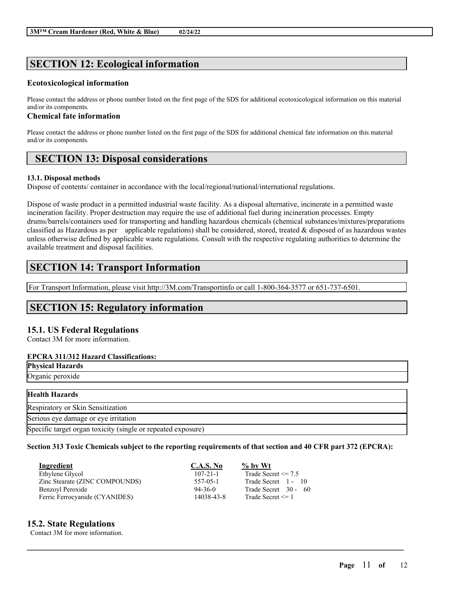# **SECTION 12: Ecological information**

# **Ecotoxicological information**

Please contact the address or phone number listed on the first page of the SDS for additional ecotoxicological information on this material and/or its components.

# **Chemical fate information**

Please contact the address or phone number listed on the first page of the SDS for additional chemical fate information on this material and/or its components.

# **SECTION 13: Disposal considerations**

# **13.1. Disposal methods**

Dispose of contents/ container in accordance with the local/regional/national/international regulations.

Dispose of waste product in a permitted industrial waste facility. As a disposal alternative, incinerate in a permitted waste incineration facility. Proper destruction may require the use of additional fuel during incineration processes. Empty drums/barrels/containers used for transporting and handling hazardous chemicals (chemical substances/mixtures/preparations classified as Hazardous as per applicable regulations) shall be considered, stored, treated  $\&$  disposed of as hazardous wastes unless otherwise defined by applicable waste regulations. Consult with the respective regulating authorities to determine the available treatment and disposal facilities.

# **SECTION 14: Transport Information**

For Transport Information, please visit http://3M.com/Transportinfo or call 1-800-364-3577 or 651-737-6501.

# **SECTION 15: Regulatory information**

# **15.1. US Federal Regulations**

Contact 3M for more information.

# **EPCRA 311/312 Hazard Classifications:**

| <b>Physical Hazards</b>                                      |  |
|--------------------------------------------------------------|--|
| Organic peroxide                                             |  |
|                                                              |  |
| Health Hazards                                               |  |
| Respiratory or Skin Sensitization                            |  |
| Serious eye damage or eye irritation                         |  |
| Specific target organ toxicity (single or repeated exposure) |  |

# Section 313 Toxic Chemicals subject to the reporting requirements of that section and 40 CFR part 372 (EPCRA):

 $\mathcal{L}_\mathcal{L} = \mathcal{L}_\mathcal{L} = \mathcal{L}_\mathcal{L} = \mathcal{L}_\mathcal{L} = \mathcal{L}_\mathcal{L} = \mathcal{L}_\mathcal{L} = \mathcal{L}_\mathcal{L} = \mathcal{L}_\mathcal{L} = \mathcal{L}_\mathcal{L} = \mathcal{L}_\mathcal{L} = \mathcal{L}_\mathcal{L} = \mathcal{L}_\mathcal{L} = \mathcal{L}_\mathcal{L} = \mathcal{L}_\mathcal{L} = \mathcal{L}_\mathcal{L} = \mathcal{L}_\mathcal{L} = \mathcal{L}_\mathcal{L}$ 

| Ingredient                     | <b>C.A.S. No</b> | $\%$ by Wt                |
|--------------------------------|------------------|---------------------------|
| Ethylene Glycol                | $107 - 21 - 1$   | Trade Secret $\leq$ 7.5   |
| Zinc Stearate (ZINC COMPOUNDS) | 557-05-1         | Trade Secret 1 - 10       |
| Benzoyl Peroxide               | 94-36-0          | Trade Secret 30 -<br>- 60 |
| Ferric Ferrocyanide (CYANIDES) | 14038-43-8       | Trade Secret $\leq 1$     |

# **15.2. State Regulations**

Contact 3M for more information.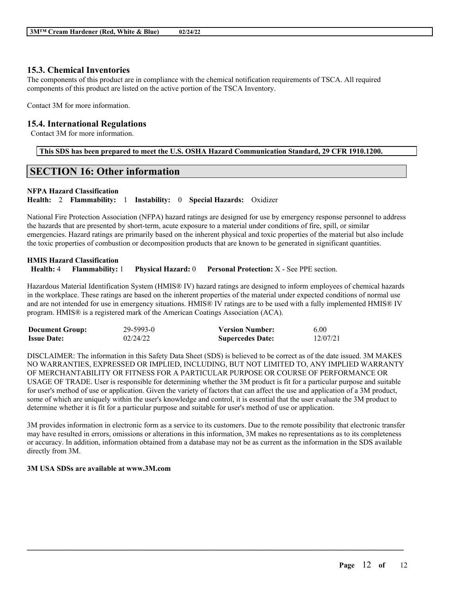# **15.3. Chemical Inventories**

The components of this product are in compliance with the chemical notification requirements of TSCA. All required components of this product are listed on the active portion of the TSCA Inventory.

Contact 3M for more information.

# **15.4. International Regulations**

Contact 3M for more information.

**This SDS has been prepared to meet the U.S. OSHA Hazard Communication Standard, 29 CFR 1910.1200.**

# **SECTION 16: Other information**

# **NFPA Hazard Classification**

**Health:** 2 **Flammability:** 1 **Instability:** 0 **Special Hazards:** Oxidizer

National Fire Protection Association (NFPA) hazard ratings are designed for use by emergency response personnel to address the hazards that are presented by short-term, acute exposure to a material under conditions of fire, spill, or similar emergencies. Hazard ratings are primarily based on the inherent physical and toxic properties of the material but also include the toxic properties of combustion or decomposition products that are known to be generated in significant quantities.

### **HMIS Hazard Classification Health:** 4 **Flammability:** 1 **Physical Hazard:** 0 **Personal Protection:** X - See PPE section.

Hazardous Material Identification System (HMIS® IV) hazard ratings are designed to inform employees of chemical hazards in the workplace. These ratings are based on the inherent properties of the material under expected conditions of normal use and are not intended for use in emergency situations. HMIS® IV ratings are to be used with a fully implemented HMIS® IV program. HMIS® is a registered mark of the American Coatings Association (ACA).

| <b>Document Group:</b> | 29-5993-0 | <b>Version Number:</b>  | 6.00     |
|------------------------|-----------|-------------------------|----------|
| <b>Issue Date:</b>     | 02/24/22  | <b>Supercedes Date:</b> | 12/07/21 |

DISCLAIMER: The information in this Safety Data Sheet (SDS) is believed to be correct as of the date issued. 3M MAKES NO WARRANTIES, EXPRESSED OR IMPLIED, INCLUDING, BUT NOT LIMITED TO, ANY IMPLIED WARRANTY OF MERCHANTABILITY OR FITNESS FOR A PARTICULAR PURPOSE OR COURSE OF PERFORMANCE OR USAGE OF TRADE. User is responsible for determining whether the 3M product is fit for a particular purpose and suitable for user's method of use or application. Given the variety of factors that can affect the use and application of a 3M product, some of which are uniquely within the user's knowledge and control, it is essential that the user evaluate the 3M product to determine whether it is fit for a particular purpose and suitable for user's method of use or application.

3M provides information in electronic form as a service to its customers. Due to the remote possibility that electronic transfer may have resulted in errors, omissions or alterations in this information, 3M makes no representations as to its completeness or accuracy. In addition, information obtained from a database may not be as current as the information in the SDS available directly from 3M.

 $\mathcal{L}_\mathcal{L} = \mathcal{L}_\mathcal{L} = \mathcal{L}_\mathcal{L} = \mathcal{L}_\mathcal{L} = \mathcal{L}_\mathcal{L} = \mathcal{L}_\mathcal{L} = \mathcal{L}_\mathcal{L} = \mathcal{L}_\mathcal{L} = \mathcal{L}_\mathcal{L} = \mathcal{L}_\mathcal{L} = \mathcal{L}_\mathcal{L} = \mathcal{L}_\mathcal{L} = \mathcal{L}_\mathcal{L} = \mathcal{L}_\mathcal{L} = \mathcal{L}_\mathcal{L} = \mathcal{L}_\mathcal{L} = \mathcal{L}_\mathcal{L}$ 

# **3M USA SDSs are available at www.3M.com**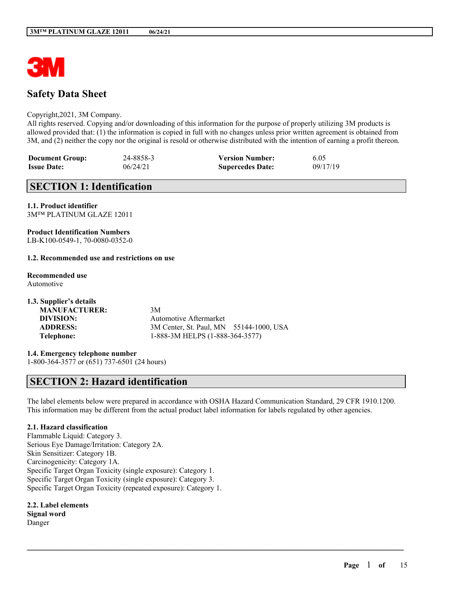

# **Safety Data Sheet**

#### Copyright,2021, 3M Company.

All rights reserved. Copying and/or downloading of this information for the purpose of properly utilizing 3M products is allowed provided that: (1) the information is copied in full with no changes unless prior written agreement is obtained from 3M, and (2) neither the copy nor the original is resold or otherwise distributed with the intention of earning a profit thereon.

| <b>Document Group:</b> | 24-8858-3 | <b>Version Number:</b>  | 6.05     |
|------------------------|-----------|-------------------------|----------|
| <b>Issue Date:</b>     | 06/24/21  | <b>Supercedes Date:</b> | 09/17/19 |

# **SECTION 1: Identification**

**1.1. Product identifier** 3M™ PLATINUM GLAZE 12011

# **Product Identification Numbers**

LB-K100-0549-1, 70-0080-0352-0

### **1.2. Recommended use and restrictions on use**

#### **Recommended use**

Automotive

**1.3. Supplier's details MANUFACTURER:** 3M **DIVISION:** Automotive Aftermarket

**ADDRESS:** 3M Center, St. Paul, MN 55144-1000, USA **Telephone:** 1-888-3M HELPS (1-888-364-3577)

# **1.4. Emergency telephone number**

1-800-364-3577 or (651) 737-6501 (24 hours)

# **SECTION 2: Hazard identification**

The label elements below were prepared in accordance with OSHA Hazard Communication Standard, 29 CFR 1910.1200. This information may be different from the actual product label information for labels regulated by other agencies.

 $\mathcal{L}_\mathcal{L} = \mathcal{L}_\mathcal{L} = \mathcal{L}_\mathcal{L} = \mathcal{L}_\mathcal{L} = \mathcal{L}_\mathcal{L} = \mathcal{L}_\mathcal{L} = \mathcal{L}_\mathcal{L} = \mathcal{L}_\mathcal{L} = \mathcal{L}_\mathcal{L} = \mathcal{L}_\mathcal{L} = \mathcal{L}_\mathcal{L} = \mathcal{L}_\mathcal{L} = \mathcal{L}_\mathcal{L} = \mathcal{L}_\mathcal{L} = \mathcal{L}_\mathcal{L} = \mathcal{L}_\mathcal{L} = \mathcal{L}_\mathcal{L}$ 

# **2.1. Hazard classification**

Flammable Liquid: Category 3. Serious Eye Damage/Irritation: Category 2A. Skin Sensitizer: Category 1B. Carcinogenicity: Category 1A. Specific Target Organ Toxicity (single exposure): Category 1. Specific Target Organ Toxicity (single exposure): Category 3. Specific Target Organ Toxicity (repeated exposure): Category 1.

**2.2. Label elements Signal word** Danger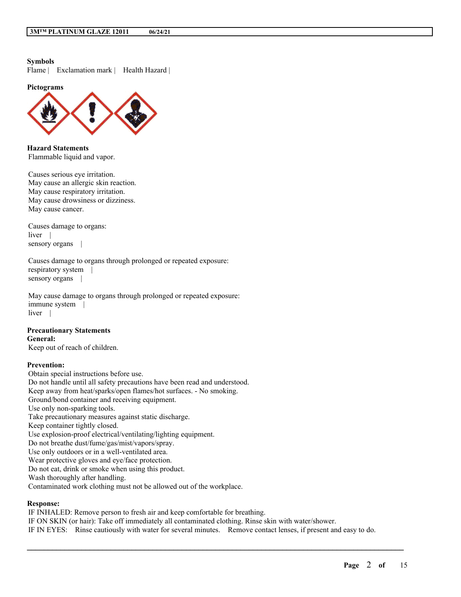# **Symbols**

Flame | Exclamation mark | Health Hazard |

**Pictograms**



**Hazard Statements** Flammable liquid and vapor.

Causes serious eye irritation. May cause an allergic skin reaction. May cause respiratory irritation. May cause drowsiness or dizziness. May cause cancer.

Causes damage to organs: liver | sensory organs |

Causes damage to organs through prolonged or repeated exposure: respiratory system | sensory organs |

May cause damage to organs through prolonged or repeated exposure: immune system | liver |

#### **Precautionary Statements General:**

Keep out of reach of children.

# **Prevention:**

Obtain special instructions before use. Do not handle until all safety precautions have been read and understood. Keep away from heat/sparks/open flames/hot surfaces. - No smoking. Ground/bond container and receiving equipment. Use only non-sparking tools. Take precautionary measures against static discharge. Keep container tightly closed. Use explosion-proof electrical/ventilating/lighting equipment. Do not breathe dust/fume/gas/mist/vapors/spray. Use only outdoors or in a well-ventilated area. Wear protective gloves and eye/face protection. Do not eat, drink or smoke when using this product. Wash thoroughly after handling. Contaminated work clothing must not be allowed out of the workplace.

#### **Response:**

IF INHALED: Remove person to fresh air and keep comfortable for breathing. IF ON SKIN (or hair): Take off immediately all contaminated clothing. Rinse skin with water/shower. IF IN EYES: Rinse cautiously with water for several minutes. Remove contact lenses, if present and easy to do.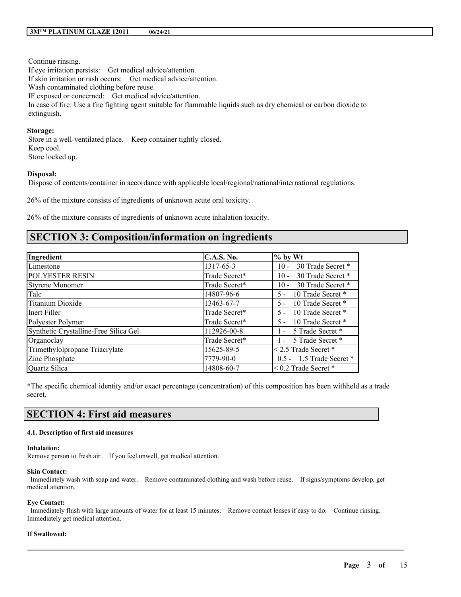# Continue rinsing.

If eye irritation persists: Get medical advice/attention. If skin irritation or rash occurs: Get medical advice/attention. Wash contaminated clothing before reuse. IF exposed or concerned: Get medical advice/attention. In case of fire: Use a fire fighting agent suitable for flammable liquids such as dry chemical or carbon dioxide to extinguish.

### **Storage:**

Store in a well-ventilated place. Keep container tightly closed. Keep cool. Store locked up.

### **Disposal:**

Dispose of contents/container in accordance with applicable local/regional/national/international regulations.

26% of the mixture consists of ingredients of unknown acute oral toxicity.

26% of the mixture consists of ingredients of unknown acute inhalation toxicity.

# **SECTION 3: Composition/information on ingredients**

| Ingredient                            | <b>C.A.S. No.</b> | $%$ by Wt                   |
|---------------------------------------|-------------------|-----------------------------|
| Limestone                             | 1317-65-3         | 30 Trade Secret *<br>$10 -$ |
| <b>POLYESTER RESIN</b>                | Trade Secret*     | 30 Trade Secret *<br>$10 -$ |
| <b>Styrene Monomer</b>                | Trade Secret*     | 30 Trade Secret *<br>$10 -$ |
| Talc                                  | 14807-96-6        | 10 Trade Secret *<br>$5 -$  |
| Titanium Dioxide                      | 13463-67-7        | 10 Trade Secret *<br>$5 -$  |
| Inert Filler                          | Trade Secret*     | 10 Trade Secret *<br>$5 -$  |
| Polyester Polymer                     | Trade Secret*     | 10 Trade Secret *<br>$5 -$  |
| Synthetic Crystalline-Free Silica Gel | 112926-00-8       | 1 - 5 Trade Secret *        |
| Organoclay                            | Trade Secret*     | 1 - 5 Trade Secret *        |
| Trimethylolpropane Triacrylate        | 15625-89-5        | $<$ 2.5 Trade Secret $*$    |
| Zinc Phosphate                        | 7779-90-0         | $0.5 - 1.5$ Trade Secret *  |
| Quartz Silica                         | 14808-60-7        | $\leq 0.2$ Trade Secret *   |

\*The specific chemical identity and/or exact percentage (concentration) of this composition has been withheld as a trade secret.

# **SECTION 4: First aid measures**

#### **4.1. Description of first aid measures**

#### **Inhalation:**

Remove person to fresh air. If you feel unwell, get medical attention.

#### **Skin Contact:**

Immediately wash with soap and water. Remove contaminated clothing and wash before reuse. If signs/symptoms develop, get medical attention.

#### **Eye Contact:**

Immediately flush with large amounts of water for at least 15 minutes. Remove contact lenses if easy to do. Continue rinsing. Immediately get medical attention.

 $\mathcal{L}_\mathcal{L} = \mathcal{L}_\mathcal{L} = \mathcal{L}_\mathcal{L} = \mathcal{L}_\mathcal{L} = \mathcal{L}_\mathcal{L} = \mathcal{L}_\mathcal{L} = \mathcal{L}_\mathcal{L} = \mathcal{L}_\mathcal{L} = \mathcal{L}_\mathcal{L} = \mathcal{L}_\mathcal{L} = \mathcal{L}_\mathcal{L} = \mathcal{L}_\mathcal{L} = \mathcal{L}_\mathcal{L} = \mathcal{L}_\mathcal{L} = \mathcal{L}_\mathcal{L} = \mathcal{L}_\mathcal{L} = \mathcal{L}_\mathcal{L}$ 

#### **If Swallowed:**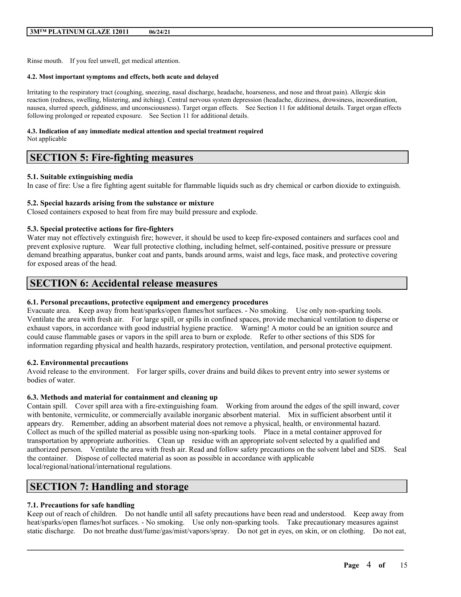Rinse mouth. If you feel unwell, get medical attention.

#### **4.2. Most important symptoms and effects, both acute and delayed**

Irritating to the respiratory tract (coughing, sneezing, nasal discharge, headache, hoarseness, and nose and throat pain). Allergic skin reaction (redness, swelling, blistering, and itching). Central nervous system depression (headache, dizziness, drowsiness, incoordination, nausea, slurred speech, giddiness, and unconsciousness). Target organ effects. See Section 11 for additional details. Target organ effects following prolonged or repeated exposure. See Section 11 for additional details.

#### **4.3. Indication of any immediate medical attention and special treatment required** Not applicable

# **SECTION 5: Fire-fighting measures**

### **5.1. Suitable extinguishing media**

In case of fire: Use a fire fighting agent suitable for flammable liquids such as dry chemical or carbon dioxide to extinguish.

### **5.2. Special hazards arising from the substance or mixture**

Closed containers exposed to heat from fire may build pressure and explode.

### **5.3. Special protective actions for fire-fighters**

Water may not effectively extinguish fire; however, it should be used to keep fire-exposed containers and surfaces cool and prevent explosive rupture. Wear full protective clothing, including helmet, self-contained, positive pressure or pressure demand breathing apparatus, bunker coat and pants, bands around arms, waist and legs, face mask, and protective covering for exposed areas of the head.

# **SECTION 6: Accidental release measures**

#### **6.1. Personal precautions, protective equipment and emergency procedures**

Evacuate area. Keep away from heat/sparks/open flames/hot surfaces. - No smoking. Use only non-sparking tools. Ventilate the area with fresh air. For large spill, or spills in confined spaces, provide mechanical ventilation to disperse or exhaust vapors, in accordance with good industrial hygiene practice. Warning! A motor could be an ignition source and could cause flammable gases or vapors in the spill area to burn or explode. Refer to other sections of this SDS for information regarding physical and health hazards, respiratory protection, ventilation, and personal protective equipment.

#### **6.2. Environmental precautions**

Avoid release to the environment. For larger spills, cover drains and build dikes to prevent entry into sewer systems or bodies of water.

# **6.3. Methods and material for containment and cleaning up**

Contain spill. Cover spill area with a fire-extinguishing foam. Working from around the edges of the spill inward, cover with bentonite, vermiculite, or commercially available inorganic absorbent material. Mix in sufficient absorbent until it appears dry. Remember, adding an absorbent material does not remove a physical, health, or environmental hazard. Collect as much of the spilled material as possible using non-sparking tools. Place in a metal container approved for transportation by appropriate authorities. Clean up residue with an appropriate solvent selected by a qualified and authorized person. Ventilate the area with fresh air. Read and follow safety precautions on the solvent label and SDS. Seal the container. Dispose of collected material as soon as possible in accordance with applicable local/regional/national/international regulations.

# **SECTION 7: Handling and storage**

# **7.1. Precautions for safe handling**

Keep out of reach of children. Do not handle until all safety precautions have been read and understood. Keep away from heat/sparks/open flames/hot surfaces. - No smoking. Use only non-sparking tools. Take precautionary measures against static discharge. Do not breathe dust/fume/gas/mist/vapors/spray. Do not get in eyes, on skin, or on clothing. Do not eat,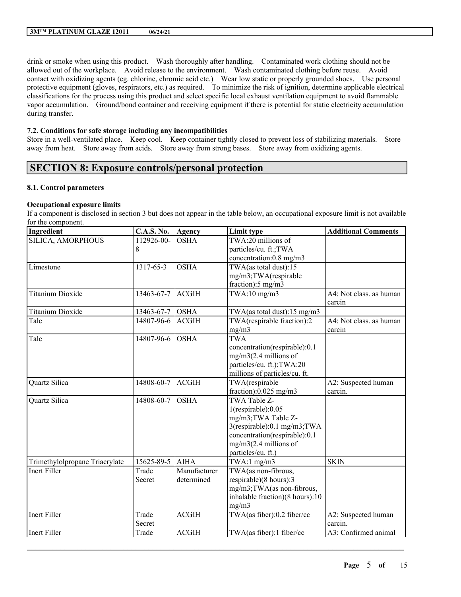drink or smoke when using this product. Wash thoroughly after handling. Contaminated work clothing should not be allowed out of the workplace. Avoid release to the environment. Wash contaminated clothing before reuse. Avoid contact with oxidizing agents (eg. chlorine, chromic acid etc.) Wear low static or properly grounded shoes. Use personal protective equipment (gloves, respirators, etc.) as required. To minimize the risk of ignition, determine applicable electrical classifications for the process using this product and select specific local exhaust ventilation equipment to avoid flammable vapor accumulation. Ground/bond container and receiving equipment if there is potential for static electricity accumulation during transfer.

# **7.2. Conditions for safe storage including any incompatibilities**

Store in a well-ventilated place. Keep cool. Keep container tightly closed to prevent loss of stabilizing materials. Store away from heat. Store away from acids. Store away from strong bases. Store away from oxidizing agents.

# **SECTION 8: Exposure controls/personal protection**

# **8.1. Control parameters**

# **Occupational exposure limits**

If a component is disclosed in section 3 but does not appear in the table below, an occupational exposure limit is not available for the component.

| Ingredient                     | <b>C.A.S. No.</b> | Agency       | Limit type                          | <b>Additional Comments</b> |
|--------------------------------|-------------------|--------------|-------------------------------------|----------------------------|
| SILICA, AMORPHOUS              | 112926-00-        | <b>OSHA</b>  | TWA:20 millions of                  |                            |
|                                | 8                 |              | particles/cu. ft.;TWA               |                            |
|                                |                   |              | concentration:0.8 mg/m3             |                            |
| Limestone                      | 1317-65-3         | <b>OSHA</b>  | TWA(as total dust):15               |                            |
|                                |                   |              | mg/m3;TWA(respirable                |                            |
|                                |                   |              | fraction):5 mg/m3                   |                            |
| <b>Titanium Dioxide</b>        | 13463-67-7        | <b>ACGIH</b> | $TWA:10$ mg/m $3$                   | A4: Not class, as human    |
|                                |                   |              |                                     | carcin                     |
| <b>Titanium Dioxide</b>        | 13463-67-7        | <b>OSHA</b>  | TWA(as total dust):15 mg/m3         |                            |
| Talc                           | 14807-96-6        | <b>ACGIH</b> | TWA(respirable fraction):2          | A4: Not class. as human    |
|                                |                   |              | mg/m3                               | carcin                     |
| Talc                           | 14807-96-6        | <b>OSHA</b>  | <b>TWA</b>                          |                            |
|                                |                   |              | concentration(respirable):0.1       |                            |
|                                |                   |              | $mg/m3(2.4$ millions of             |                            |
|                                |                   |              | particles/cu. ft.); TWA:20          |                            |
|                                |                   |              | millions of particles/cu. ft.       |                            |
| Quartz Silica                  | 14808-60-7        | <b>ACGIH</b> | TWA(respirable                      | A2: Suspected human        |
|                                |                   |              | fraction): $0.025$ mg/m3            | carcin.                    |
| Quartz Silica                  | 14808-60-7        | <b>OSHA</b>  | TWA Table Z-                        |                            |
|                                |                   |              | 1(respirable):0.05                  |                            |
|                                |                   |              | mg/m3; TWA Table Z-                 |                            |
|                                |                   |              | $3$ (respirable):0.1 mg/m $3$ ; TWA |                            |
|                                |                   |              | concentration(respirable):0.1       |                            |
|                                |                   |              | $mg/m3(2.4$ millions of             |                            |
|                                |                   |              | particles/cu. ft.)                  |                            |
| Trimethylolpropane Triacrylate | 15625-89-5        | <b>AIHA</b>  | $TWA:1$ mg/m3                       | <b>SKIN</b>                |
| <b>Inert Filler</b>            | Trade             | Manufacturer | TWA(as non-fibrous,                 |                            |
|                                | Secret            | determined   | respirable)(8 hours):3              |                            |
|                                |                   |              | mg/m3;TWA(as non-fibrous,           |                            |
|                                |                   |              | inhalable fraction)(8 hours):10     |                            |
|                                |                   |              | mg/m3                               |                            |
| Inert Filler                   | Trade             | <b>ACGIH</b> | TWA(as fiber):0.2 fiber/cc          | A2: Suspected human        |
|                                | Secret            |              |                                     | carcin.                    |
| <b>Inert Filler</b>            | Trade             | <b>ACGIH</b> | TWA(as fiber):1 fiber/cc            | A3: Confirmed animal       |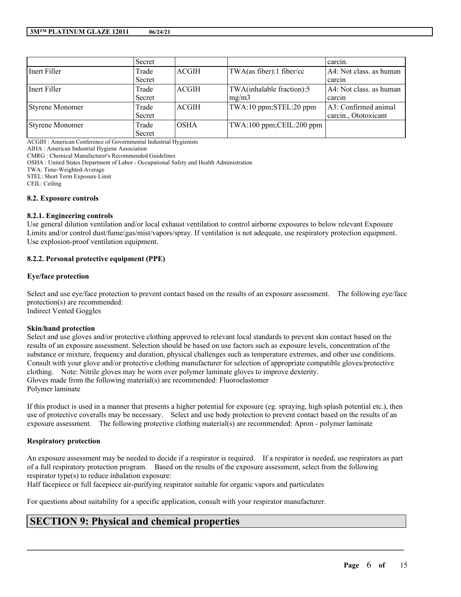|                        | Secret |              |                              | carcin.                 |
|------------------------|--------|--------------|------------------------------|-------------------------|
| Inert Filler           | Trade  | <b>ACGIH</b> | TWA(as fiber):1 fiber/cc     | A4: Not class, as human |
|                        | Secret |              |                              | carcin                  |
| Inert Filler           | Trade  | <b>ACGIH</b> | TWA(inhalable fraction):5    | A4: Not class, as human |
|                        | Secret |              | mg/m3                        | carcin                  |
| <b>Styrene Monomer</b> | Trade  | ACGIH        | TWA:10 ppm;STEL:20 ppm       | A3: Confirmed animal    |
|                        | Secret |              |                              | carcin., Ototoxicant    |
| <b>Styrene Monomer</b> | Trade  | <b>OSHA</b>  | $TWA:100$ ppm; CEIL: 200 ppm |                         |
|                        | Secret |              |                              |                         |

ACGIH : American Conference of Governmental Industrial Hygienists

AIHA : American Industrial Hygiene Association

CMRG : Chemical Manufacturer's Recommended Guidelines

OSHA : United States Department of Labor - Occupational Safety and Health Administration

TWA: Time-Weighted-Average

STEL: Short Term Exposure Limit

CEIL: Ceiling

### **8.2. Exposure controls**

# **8.2.1. Engineering controls**

Use general dilution ventilation and/or local exhaust ventilation to control airborne exposures to below relevant Exposure Limits and/or control dust/fume/gas/mist/vapors/spray. If ventilation is not adequate, use respiratory protection equipment. Use explosion-proof ventilation equipment.

# **8.2.2. Personal protective equipment (PPE)**

# **Eye/face protection**

Select and use eye/face protection to prevent contact based on the results of an exposure assessment. The following eye/face protection(s) are recommended: Indirect Vented Goggles

# **Skin/hand protection**

Select and use gloves and/or protective clothing approved to relevant local standards to prevent skin contact based on the results of an exposure assessment. Selection should be based on use factors such as exposure levels, concentration of the substance or mixture, frequency and duration, physical challenges such as temperature extremes, and other use conditions. Consult with your glove and/or protective clothing manufacturer for selection of appropriate compatible gloves/protective clothing. Note: Nitrile gloves may be worn over polymer laminate gloves to improve dexterity. Gloves made from the following material(s) are recommended: Fluoroelastomer Polymer laminate

If this product is used in a manner that presents a higher potential for exposure (eg. spraying, high splash potential etc.), then use of protective coveralls may be necessary. Select and use body protection to prevent contact based on the results of an exposure assessment. The following protective clothing material(s) are recommended: Apron - polymer laminate

# **Respiratory protection**

An exposure assessment may be needed to decide if a respirator is required. If a respirator is needed, use respirators as part of a full respiratory protection program. Based on the results of the exposure assessment, select from the following respirator type(s) to reduce inhalation exposure:

 $\mathcal{L}_\mathcal{L} = \mathcal{L}_\mathcal{L} = \mathcal{L}_\mathcal{L} = \mathcal{L}_\mathcal{L} = \mathcal{L}_\mathcal{L} = \mathcal{L}_\mathcal{L} = \mathcal{L}_\mathcal{L} = \mathcal{L}_\mathcal{L} = \mathcal{L}_\mathcal{L} = \mathcal{L}_\mathcal{L} = \mathcal{L}_\mathcal{L} = \mathcal{L}_\mathcal{L} = \mathcal{L}_\mathcal{L} = \mathcal{L}_\mathcal{L} = \mathcal{L}_\mathcal{L} = \mathcal{L}_\mathcal{L} = \mathcal{L}_\mathcal{L}$ 

Half facepiece or full facepiece air-purifying respirator suitable for organic vapors and particulates

For questions about suitability for a specific application, consult with your respirator manufacturer.

# **SECTION 9: Physical and chemical properties**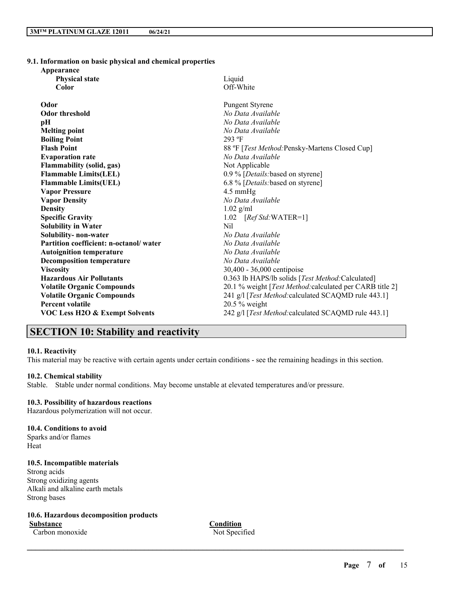|  | 9.1. Information on basic physical and chemical properties |  |  |  |  |  |  |
|--|------------------------------------------------------------|--|--|--|--|--|--|
|--|------------------------------------------------------------|--|--|--|--|--|--|

| Appearance                                |                                                          |
|-------------------------------------------|----------------------------------------------------------|
| <b>Physical state</b>                     | Liquid                                                   |
| Color                                     | Off-White                                                |
| Odor                                      | <b>Pungent Styrene</b>                                   |
| <b>Odor threshold</b>                     | No Data Available                                        |
| pН                                        | No Data Available                                        |
| <b>Melting point</b>                      | No Data Available                                        |
| <b>Boiling Point</b>                      | $293$ °F                                                 |
| <b>Flash Point</b>                        | 88 °F [Test Method: Pensky-Martens Closed Cup]           |
| <b>Evaporation rate</b>                   | No Data Available                                        |
| <b>Flammability (solid, gas)</b>          | Not Applicable                                           |
| <b>Flammable Limits(LEL)</b>              | 0.9 % [Details: based on styrene]                        |
| <b>Flammable Limits(UEL)</b>              | 6.8 % [Details: based on styrene]                        |
| <b>Vapor Pressure</b>                     | $4.5 \text{ mmHg}$                                       |
| <b>Vapor Density</b>                      | No Data Available                                        |
| <b>Density</b>                            | $1.02$ g/ml                                              |
| <b>Specific Gravity</b>                   | 1.02 $[RefStd:WATER=1]$                                  |
| <b>Solubility in Water</b>                | Nil                                                      |
| Solubility-non-water                      | No Data Available                                        |
| Partition coefficient: n-octanol/water    | No Data Available                                        |
| <b>Autoignition temperature</b>           | No Data Available                                        |
| <b>Decomposition temperature</b>          | No Data Available                                        |
| <b>Viscosity</b>                          | 30,400 - 36,000 centipoise                               |
| <b>Hazardous Air Pollutants</b>           | 0.363 lb HAPS/lb solids [Test Method: Calculated]        |
| <b>Volatile Organic Compounds</b>         | 20.1 % weight [Test Method: calculated per CARB title 2] |
| <b>Volatile Organic Compounds</b>         | 241 g/l [Test Method: calculated SCAQMD rule 443.1]      |
| <b>Percent volatile</b>                   | 20.5 % weight                                            |
| <b>VOC Less H2O &amp; Exempt Solvents</b> | 242 g/l [Test Method: calculated SCAQMD rule 443.1]      |
|                                           |                                                          |

# **SECTION 10: Stability and reactivity**

#### **10.1. Reactivity**

This material may be reactive with certain agents under certain conditions - see the remaining headings in this section.

#### **10.2. Chemical stability**

Stable. Stable under normal conditions. May become unstable at elevated temperatures and/or pressure.

#### **10.3. Possibility of hazardous reactions**

Hazardous polymerization will not occur.

#### **10.4. Conditions to avoid** Sparks and/or flames

Heat

# **10.5. Incompatible materials**

Strong acids Strong oxidizing agents Alkali and alkaline earth metals Strong bases

# **10.6. Hazardous decomposition products**

Carbon monoxide Not Specified

**Substance Condition**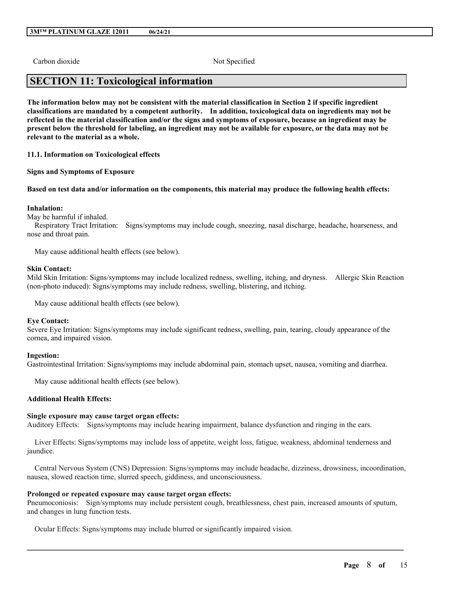Carbon dioxide Not Specified

# **SECTION 11: Toxicological information**

The information below may not be consistent with the material classification in Section 2 if specific ingredient **classifications are mandated by a competent authority. In addition, toxicological data on ingredients may not be** reflected in the material classification and/or the signs and symptoms of exposure, because an ingredient may be present below the threshold for labeling, an ingredient may not be available for exposure, or the data may not be **relevant to the material as a whole.**

**11.1. Information on Toxicological effects**

**Signs and Symptoms of Exposure**

Based on test data and/or information on the components, this material may produce the following health effects:

#### **Inhalation:**

May be harmful if inhaled.

Respiratory Tract Irritation: Signs/symptoms may include cough, sneezing, nasal discharge, headache, hoarseness, and nose and throat pain.

May cause additional health effects (see below).

#### **Skin Contact:**

Mild Skin Irritation: Signs/symptoms may include localized redness, swelling, itching, and dryness. Allergic Skin Reaction (non-photo induced): Signs/symptoms may include redness, swelling, blistering, and itching.

May cause additional health effects (see below).

#### **Eye Contact:**

Severe Eye Irritation: Signs/symptoms may include significant redness, swelling, pain, tearing, cloudy appearance of the cornea, and impaired vision.

#### **Ingestion:**

Gastrointestinal Irritation: Signs/symptoms may include abdominal pain, stomach upset, nausea, vomiting and diarrhea.

May cause additional health effects (see below).

# **Additional Health Effects:**

#### **Single exposure may cause target organ effects:**

Auditory Effects: Signs/symptoms may include hearing impairment, balance dysfunction and ringing in the ears.

Liver Effects: Signs/symptoms may include loss of appetite, weight loss, fatigue, weakness, abdominal tenderness and jaundice.

Central Nervous System (CNS) Depression: Signs/symptoms may include headache, dizziness, drowsiness, incoordination, nausea, slowed reaction time, slurred speech, giddiness, and unconsciousness.

#### **Prolonged or repeated exposure may cause target organ effects:**

Pneumoconiosis: Sign/symptoms may include persistent cough, breathlessness, chest pain, increased amounts of sputum, and changes in lung function tests.

 $\mathcal{L}_\mathcal{L} = \mathcal{L}_\mathcal{L} = \mathcal{L}_\mathcal{L} = \mathcal{L}_\mathcal{L} = \mathcal{L}_\mathcal{L} = \mathcal{L}_\mathcal{L} = \mathcal{L}_\mathcal{L} = \mathcal{L}_\mathcal{L} = \mathcal{L}_\mathcal{L} = \mathcal{L}_\mathcal{L} = \mathcal{L}_\mathcal{L} = \mathcal{L}_\mathcal{L} = \mathcal{L}_\mathcal{L} = \mathcal{L}_\mathcal{L} = \mathcal{L}_\mathcal{L} = \mathcal{L}_\mathcal{L} = \mathcal{L}_\mathcal{L}$ 

Ocular Effects: Signs/symptoms may include blurred or significantly impaired vision.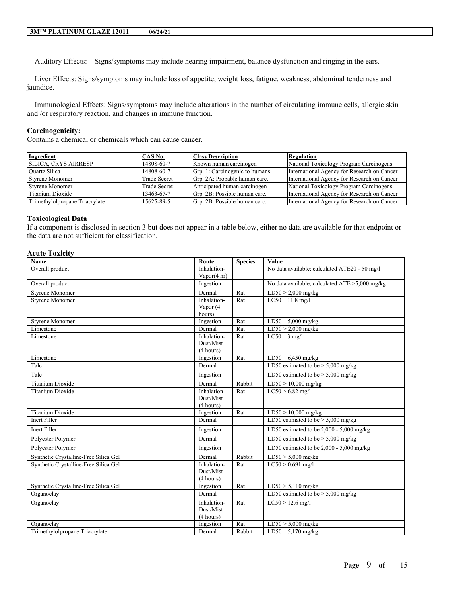Auditory Effects: Signs/symptoms may include hearing impairment, balance dysfunction and ringing in the ears.

Liver Effects: Signs/symptoms may include loss of appetite, weight loss, fatigue, weakness, abdominal tenderness and jaundice.

Immunological Effects: Signs/symptoms may include alterations in the number of circulating immune cells, allergic skin and /or respiratory reaction, and changes in immune function.

# **Carcinogenicity:**

Contains a chemical or chemicals which can cause cancer.

| Ingredient                     | CAS No.             | <b>Class Description</b>       | Regulation                                  |
|--------------------------------|---------------------|--------------------------------|---------------------------------------------|
| SILICA, CRYS AIRRESP           | 14808-60-7          | Known human carcinogen         | National Toxicology Program Carcinogens     |
| <b>Ouartz Silica</b>           | 14808-60-7          | Grp. 1: Carcinogenic to humans | International Agency for Research on Cancer |
| <b>Styrene Monomer</b>         | <b>Trade Secret</b> | Grp. 2A: Probable human carc.  | International Agency for Research on Cancer |
| <b>Styrene Monomer</b>         | <b>Trade Secret</b> | Anticipated human carcinogen   | National Toxicology Program Carcinogens     |
| Titanium Dioxide               | 13463-67-7          | Grp. 2B: Possible human carc.  | International Agency for Research on Cancer |
| Trimethylolpropane Triacrylate | 15625-89-5          | Grp. 2B: Possible human carc.  | International Agency for Research on Cancer |

#### **Toxicological Data**

If a component is disclosed in section 3 but does not appear in a table below, either no data are available for that endpoint or the data are not sufficient for classification.

# **Acute Toxicity**

| Name                                  | Route               | <b>Species</b> | Value                                          |
|---------------------------------------|---------------------|----------------|------------------------------------------------|
| Overall product                       | Inhalation-         |                | No data available; calculated ATE20 - 50 mg/l  |
|                                       | Vapor $(4 hr)$      |                |                                                |
| Overall product                       | Ingestion           |                | No data available; calculated ATE >5,000 mg/kg |
| <b>Styrene Monomer</b>                | Dermal              | Rat            | $LD50 > 2,000$ mg/kg                           |
| <b>Styrene Monomer</b>                | Inhalation-         | Rat            | LC50 11.8 mg/l                                 |
|                                       | Vapor (4            |                |                                                |
| <b>Styrene Monomer</b>                | hours)<br>Ingestion | Rat            |                                                |
| Limestone                             | Dermal              | Rat            | LD50 $5,000$ mg/kg<br>$LD50 > 2,000$ mg/kg     |
| Limestone                             | Inhalation-         | Rat            | $LC50$ 3 mg/l                                  |
|                                       | Dust/Mist           |                |                                                |
|                                       | (4 hours)           |                |                                                |
| Limestone                             | Ingestion           | Rat            | LD50 6,450 mg/kg                               |
| Talc                                  | Dermal              |                | LD50 estimated to be $> 5,000$ mg/kg           |
| Talc                                  | Ingestion           |                | LD50 estimated to be $> 5,000$ mg/kg           |
| <b>Titanium Dioxide</b>               | Dermal              | Rabbit         | $LD50 > 10,000$ mg/kg                          |
| <b>Titanium Dioxide</b>               | Inhalation-         | Rat            | $LC50 > 6.82$ mg/l                             |
|                                       | Dust/Mist           |                |                                                |
|                                       | (4 hours)           |                |                                                |
| <b>Titanium Dioxide</b>               | Ingestion           | Rat            | $LD50 > 10,000$ mg/kg                          |
| <b>Inert Filler</b>                   | Dermal              |                | LD50 estimated to be $> 5,000$ mg/kg           |
| Inert Filler                          | Ingestion           |                | LD50 estimated to be $2,000 - 5,000$ mg/kg     |
| Polyester Polymer                     | Dermal              |                | LD50 estimated to be $> 5,000$ mg/kg           |
| Polyester Polymer                     | Ingestion           |                | LD50 estimated to be $2,000 - 5,000$ mg/kg     |
| Synthetic Crystalline-Free Silica Gel | Dermal              | Rabbit         | $LD50 > 5,000$ mg/kg                           |
| Synthetic Crystalline-Free Silica Gel | Inhalation-         | Rat            | $LC50 > 0.691$ mg/l                            |
|                                       | Dust/Mist           |                |                                                |
|                                       | (4 hours)           |                |                                                |
| Synthetic Crystalline-Free Silica Gel | Ingestion           | Rat            | $LD50 > 5,110$ mg/kg                           |
| Organoclay                            | Dermal              |                | LD50 estimated to be $> 5,000$ mg/kg           |
| Organoclay                            | Inhalation-         | Rat            | $LC50 > 12.6$ mg/l                             |
|                                       | Dust/Mist           |                |                                                |
|                                       | (4 hours)           |                |                                                |
| Organoclay                            | Ingestion           | Rat            | $LD50 > 5,000$ mg/kg                           |
| Trimethylolpropane Triacrylate        | Dermal              | Rabbit         | $LD50$ 5,170 mg/kg                             |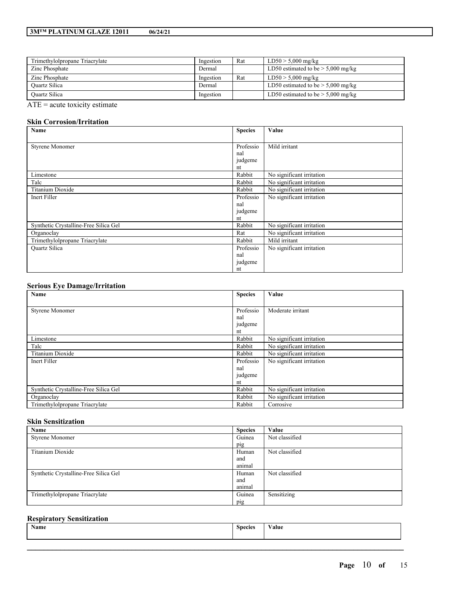| Trimethylolpropane Triacrylate                                                                                                    | Ingestion | Rat | $LD50 > 5,000$ mg/kg                 |
|-----------------------------------------------------------------------------------------------------------------------------------|-----------|-----|--------------------------------------|
| Zinc Phosphate                                                                                                                    | Dermal    |     | LD50 estimated to be $> 5,000$ mg/kg |
| Zinc Phosphate                                                                                                                    | Ingestion | Rat | $LD50 > 5,000$ mg/kg                 |
| Ouartz Silica                                                                                                                     | Dermal    |     | LD50 estimated to be $> 5,000$ mg/kg |
| Ouartz Silica                                                                                                                     | Ingestion |     | LD50 estimated to be $> 5,000$ mg/kg |
| $\overline{1}$<br>the contract of the contract of the contract of the contract of the contract of the contract of the contract of |           |     |                                      |

ATE = acute toxicity estimate

## **Skin Corrosion/Irritation**

| Name                                  | <b>Species</b> | Value                     |
|---------------------------------------|----------------|---------------------------|
|                                       |                |                           |
| <b>Styrene Monomer</b>                | Professio      | Mild irritant             |
|                                       | nal            |                           |
|                                       | judgeme        |                           |
|                                       | nt             |                           |
| Limestone                             | Rabbit         | No significant irritation |
| Talc                                  | Rabbit         | No significant irritation |
| Titanium Dioxide                      | Rabbit         | No significant irritation |
| Inert Filler                          | Professio      | No significant irritation |
|                                       | nal            |                           |
|                                       | judgeme        |                           |
|                                       | nt             |                           |
| Synthetic Crystalline-Free Silica Gel | Rabbit         | No significant irritation |
| Organoclay                            | Rat            | No significant irritation |
| Trimethylolpropane Triacrylate        | Rabbit         | Mild irritant             |
| <b>Ouartz Silica</b>                  | Professio      | No significant irritation |
|                                       | nal            |                           |
|                                       | judgeme        |                           |
|                                       | nt             |                           |

# **Serious Eye Damage/Irritation**

| Name                                  | <b>Species</b> | Value                     |
|---------------------------------------|----------------|---------------------------|
|                                       |                |                           |
| <b>Styrene Monomer</b>                | Professio      | Moderate irritant         |
|                                       | nal            |                           |
|                                       | judgeme        |                           |
|                                       | nt             |                           |
| Limestone                             | Rabbit         | No significant irritation |
| Talc                                  | Rabbit         | No significant irritation |
| <b>Titanium Dioxide</b>               | Rabbit         | No significant irritation |
| Inert Filler                          | Professio      | No significant irritation |
|                                       | nal            |                           |
|                                       | judgeme        |                           |
|                                       | nt             |                           |
| Synthetic Crystalline-Free Silica Gel | Rabbit         | No significant irritation |
| Organoclay                            | Rabbit         | No significant irritation |
| Trimethylolpropane Triacrylate        | Rabbit         | Corrosive                 |

### **Skin Sensitization**

| Name                                  | <b>Species</b> | Value          |
|---------------------------------------|----------------|----------------|
| <b>Styrene Monomer</b>                | Guinea         | Not classified |
|                                       | pig            |                |
| Titanium Dioxide                      | Human          | Not classified |
|                                       | and            |                |
|                                       | animal         |                |
| Synthetic Crystalline-Free Silica Gel | Human          | Not classified |
|                                       | and            |                |
|                                       | animal         |                |
| Trimethylolpropane Triacrylate        | Guinea         | Sensitizing    |
|                                       | pig            |                |

# **Respiratory Sensitization**

| Name |  | $\sim$<br>Species | $\mathbf{v}$ $\mathbf{v}$<br>V alue |
|------|--|-------------------|-------------------------------------|
|      |  |                   |                                     |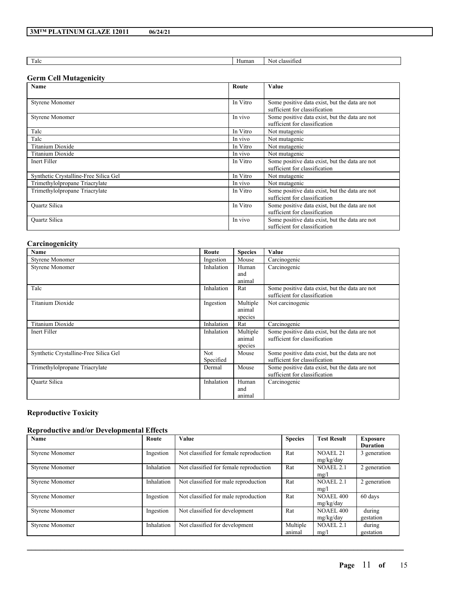| ×<br>.<br>٠ |  |
|-------------|--|
|-------------|--|

Human Not classified

# **Germ Cell Mutagenicity**

| <b>Name</b>                           | Route    | Value                                                                           |
|---------------------------------------|----------|---------------------------------------------------------------------------------|
| <b>Styrene Monomer</b>                | In Vitro | Some positive data exist, but the data are not<br>sufficient for classification |
| <b>Styrene Monomer</b>                | In vivo  | Some positive data exist, but the data are not<br>sufficient for classification |
| Talc                                  | In Vitro | Not mutagenic                                                                   |
| Talc                                  | In vivo  | Not mutagenic                                                                   |
| <b>Titanium Dioxide</b>               | In Vitro | Not mutagenic                                                                   |
| <b>Titanium Dioxide</b>               | In vivo  | Not mutagenic                                                                   |
| Inert Filler                          | In Vitro | Some positive data exist, but the data are not<br>sufficient for classification |
| Synthetic Crystalline-Free Silica Gel | In Vitro | Not mutagenic                                                                   |
| Trimethylolpropane Triacrylate        | In vivo  | Not mutagenic                                                                   |
| Trimethylolpropane Triacrylate        | In Vitro | Some positive data exist, but the data are not<br>sufficient for classification |
| <b>Ouartz Silica</b>                  | In Vitro | Some positive data exist, but the data are not<br>sufficient for classification |
| <b>Ouartz Silica</b>                  | In vivo  | Some positive data exist, but the data are not<br>sufficient for classification |

# **Carcinogenicity**

| Name                                  | Route      | <b>Species</b> | Value                                          |
|---------------------------------------|------------|----------------|------------------------------------------------|
| Styrene Monomer                       | Ingestion  | Mouse          | Carcinogenic                                   |
| Styrene Monomer                       | Inhalation | Human          | Carcinogenic                                   |
|                                       |            | and            |                                                |
|                                       |            | animal         |                                                |
| Talc                                  | Inhalation | Rat            | Some positive data exist, but the data are not |
|                                       |            |                | sufficient for classification                  |
| Titanium Dioxide                      | Ingestion  | Multiple       | Not carcinogenic                               |
|                                       |            | animal         |                                                |
|                                       |            | species        |                                                |
| Titanium Dioxide                      | Inhalation | Rat            | Carcinogenic                                   |
| Inert Filler                          | Inhalation | Multiple       | Some positive data exist, but the data are not |
|                                       |            | animal         | sufficient for classification                  |
|                                       |            | species        |                                                |
| Synthetic Crystalline-Free Silica Gel | Not        | Mouse          | Some positive data exist, but the data are not |
|                                       | Specified  |                | sufficient for classification                  |
| Trimethylolpropane Triacrylate        | Dermal     | Mouse          | Some positive data exist, but the data are not |
|                                       |            |                | sufficient for classification                  |
| <b>Ouartz Silica</b>                  | Inhalation | Human          | Carcinogenic                                   |
|                                       |            | and            |                                                |
|                                       |            | animal         |                                                |

# **Reproductive Toxicity**

# **Reproductive and/or Developmental Effects**

| Name                   | Route      | Value                                  | <b>Species</b>     | <b>Test Result</b>               | Exposure<br><b>Duration</b> |
|------------------------|------------|----------------------------------------|--------------------|----------------------------------|-----------------------------|
| <b>Styrene Monomer</b> | Ingestion  | Not classified for female reproduction | Rat                | NOAEL <sub>21</sub><br>mg/kg/day | 3 generation                |
| <b>Styrene Monomer</b> | Inhalation | Not classified for female reproduction | Rat                | $NOAEL$ 2.1<br>mg/l              | 2 generation                |
| <b>Styrene Monomer</b> | Inhalation | Not classified for male reproduction   | Rat                | $NOAEL$ 2.1<br>mg/l              | 2 generation                |
| <b>Styrene Monomer</b> | Ingestion  | Not classified for male reproduction   | Rat                | <b>NOAEL 400</b><br>mg/kg/day    | 60 days                     |
| <b>Styrene Monomer</b> | Ingestion  | Not classified for development         | Rat                | <b>NOAEL 400</b><br>mg/kg/day    | during<br>gestation         |
| <b>Styrene Monomer</b> | Inhalation | Not classified for development         | Multiple<br>animal | NOAEL 2.1<br>mg/l                | during<br>gestation         |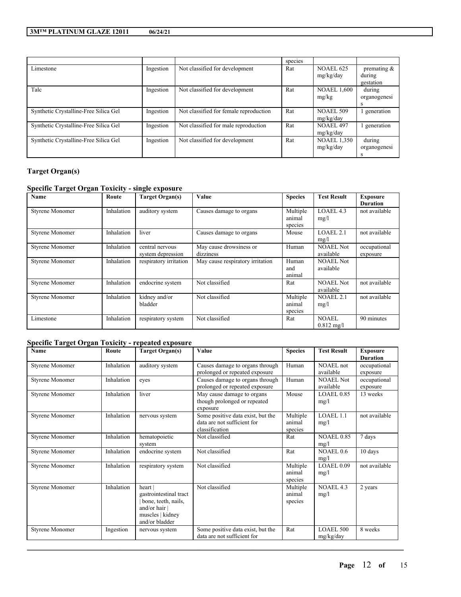|                                       |           |                                        | species |                                 |                                       |
|---------------------------------------|-----------|----------------------------------------|---------|---------------------------------|---------------------------------------|
| Limestone                             | Ingestion | Not classified for development         | Rat     | <b>NOAEL 625</b><br>mg/kg/day   | premating $\&$<br>during<br>gestation |
| Talc                                  | Ingestion | Not classified for development         | Rat     | <b>NOAEL 1,600</b><br>mg/kg     | during<br>organogenesi                |
| Synthetic Crystalline-Free Silica Gel | Ingestion | Not classified for female reproduction | Rat     | <b>NOAEL 509</b><br>mg/kg/day   | 1 generation                          |
| Synthetic Crystalline-Free Silica Gel | Ingestion | Not classified for male reproduction   | Rat     | <b>NOAEL 497</b><br>mg/kg/day   | generation                            |
| Synthetic Crystalline-Free Silica Gel | Ingestion | Not classified for development         | Rat     | <b>NOAEL 1,350</b><br>mg/kg/day | during<br>organogenesi                |

# **Target Organ(s)**

# **Specific Target Organ Toxicity - single exposure**

| Name                   | Route      | <b>Target Organ(s)</b>               | Value                                | <b>Species</b>                | <b>Test Result</b>                   | <b>Exposure</b><br><b>Duration</b> |
|------------------------|------------|--------------------------------------|--------------------------------------|-------------------------------|--------------------------------------|------------------------------------|
| <b>Styrene Monomer</b> | Inhalation | auditory system                      | Causes damage to organs              | Multiple<br>animal<br>species | LOAEL 4.3<br>mg/l                    | not available                      |
| <b>Styrene Monomer</b> | Inhalation | liver                                | Causes damage to organs              | Mouse                         | LOAEL <sub>2.1</sub><br>mg/l         | not available                      |
| <b>Styrene Monomer</b> | Inhalation | central nervous<br>system depression | May cause drowsiness or<br>dizziness | Human                         | <b>NOAEL Not</b><br>available        | occupational<br>exposure           |
| <b>Styrene Monomer</b> | Inhalation | respiratory irritation               | May cause respiratory irritation     | Human<br>and<br>animal        | <b>NOAEL Not</b><br>available        |                                    |
| <b>Styrene Monomer</b> | Inhalation | endocrine system                     | Not classified                       | Rat                           | <b>NOAEL Not</b><br>available        | not available                      |
| <b>Styrene Monomer</b> | Inhalation | kidney and/or<br>bladder             | Not classified                       | Multiple<br>animal<br>species | <b>NOAEL 2.1</b><br>mg/l             | not available                      |
| Limestone              | Inhalation | respiratory system                   | Not classified                       | Rat                           | <b>NOAEL</b><br>$0.812 \text{ mg/l}$ | 90 minutes                         |

# **Specific Target Organ Toxicity - repeated exposure**

| <b>Name</b>            | Route      | <b>Target Organ(s)</b>                                                                                        | Value                                                                              | <b>Species</b>                | <b>Test Result</b>            | <b>Exposure</b><br><b>Duration</b> |
|------------------------|------------|---------------------------------------------------------------------------------------------------------------|------------------------------------------------------------------------------------|-------------------------------|-------------------------------|------------------------------------|
| <b>Styrene Monomer</b> | Inhalation | auditory system                                                                                               | Causes damage to organs through<br>prolonged or repeated exposure                  | Human                         | NOAEL not<br>available        | occupational<br>exposure           |
| <b>Styrene Monomer</b> | Inhalation | eves                                                                                                          | Causes damage to organs through<br>prolonged or repeated exposure                  | Human                         | <b>NOAEL Not</b><br>available | occupational<br>exposure           |
| <b>Styrene Monomer</b> | Inhalation | liver                                                                                                         | May cause damage to organs<br>though prolonged or repeated<br>exposure             | Mouse                         | LOAEL 0.85<br>mg/l            | 13 weeks                           |
| <b>Styrene Monomer</b> | Inhalation | nervous system                                                                                                | Some positive data exist, but the<br>data are not sufficient for<br>classification | Multiple<br>animal<br>species | LOAEL 1.1<br>mg/l             | not available                      |
| <b>Styrene Monomer</b> | Inhalation | hematopoietic<br>system                                                                                       | Not classified                                                                     | Rat                           | <b>NOAEL 0.85</b><br>mg/l     | 7 days                             |
| <b>Styrene Monomer</b> | Inhalation | endocrine system                                                                                              | Not classified                                                                     | Rat                           | NOAEL 0.6<br>mg/l             | 10 days                            |
| <b>Styrene Monomer</b> | Inhalation | respiratory system                                                                                            | Not classified                                                                     | Multiple<br>animal<br>species | LOAEL 0.09<br>mg/l            | not available                      |
| <b>Styrene Monomer</b> | Inhalation | heart  <br>gastrointestinal tract<br>bone, teeth, nails,<br>and/or hair<br>muscles   kidney<br>and/or bladder | Not classified                                                                     | Multiple<br>animal<br>species | <b>NOAEL 4.3</b><br>mg/l      | 2 years                            |
| <b>Styrene Monomer</b> | Ingestion  | nervous system                                                                                                | Some positive data exist, but the<br>data are not sufficient for                   | Rat                           | <b>LOAEL 500</b><br>mg/kg/day | 8 weeks                            |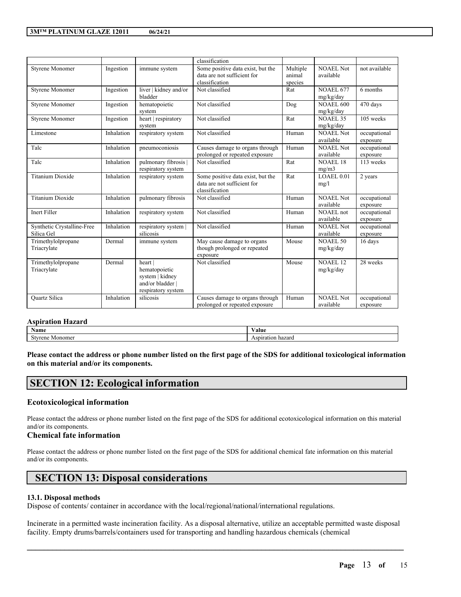|                                          |            |                                                                                       | classification                                                                     |                    |                                  |                          |
|------------------------------------------|------------|---------------------------------------------------------------------------------------|------------------------------------------------------------------------------------|--------------------|----------------------------------|--------------------------|
| <b>Styrene Monomer</b>                   | Ingestion  | immune system                                                                         | Some positive data exist, but the<br>data are not sufficient for                   | Multiple<br>animal | NOAEL Not<br>available           | not available            |
|                                          |            |                                                                                       | classification                                                                     | species            |                                  |                          |
| <b>Styrene Monomer</b>                   | Ingestion  | liver   kidney and/or<br>bladder                                                      | Not classified                                                                     | Rat                | <b>NOAEL 677</b><br>mg/kg/day    | 6 months                 |
| <b>Styrene Monomer</b>                   | Ingestion  | hematopoietic<br>system                                                               | Not classified                                                                     | Dog                | <b>NOAEL 600</b><br>mg/kg/day    | 470 days                 |
| <b>Styrene Monomer</b>                   | Ingestion  | heart   respiratory<br>system                                                         | Not classified                                                                     | Rat                | <b>NOAEL 35</b><br>mg/kg/day     | 105 weeks                |
| Limestone                                | Inhalation | respiratory system                                                                    | Not classified                                                                     | Human              | <b>NOAEL Not</b><br>available    | occupational<br>exposure |
| Talc                                     | Inhalation | pneumoconiosis                                                                        | Causes damage to organs through<br>prolonged or repeated exposure                  | Human              | <b>NOAEL Not</b><br>available    | occupational<br>exposure |
| Talc                                     | Inhalation | pulmonary fibrosis  <br>respiratory system                                            | Not classified                                                                     | Rat                | <b>NOAEL 18</b><br>mg/m3         | 113 weeks                |
| <b>Titanium Dioxide</b>                  | Inhalation | respiratory system                                                                    | Some positive data exist, but the<br>data are not sufficient for<br>classification | Rat                | LOAEL 0.01<br>mg/l               | 2 years                  |
| <b>Titanium Dioxide</b>                  | Inhalation | pulmonary fibrosis                                                                    | Not classified                                                                     | Human              | NOAEL Not<br>available           | occupational<br>exposure |
| <b>Inert Filler</b>                      | Inhalation | respiratory system                                                                    | Not classified                                                                     | Human              | <b>NOAEL</b> not<br>available    | occupational<br>exposure |
| Synthetic Crystalline-Free<br>Silica Gel | Inhalation | respiratory system  <br>silicosis                                                     | Not classified                                                                     | Human              | NOAEL Not<br>available           | occupational<br>exposure |
| Trimethylolpropane<br>Triacrylate        | Dermal     | immune system                                                                         | May cause damage to organs<br>though prolonged or repeated<br>exposure             | Mouse              | <b>NOAEL 50</b><br>mg/kg/day     | 16 days                  |
| Trimethylolpropane<br>Triacrylate        | Dermal     | heart  <br>hematopoietic<br>system   kidney<br>and/or bladder  <br>respiratory system | Not classified                                                                     | Mouse              | NOAEL <sub>12</sub><br>mg/kg/day | 28 weeks                 |
| <b>Ouartz Silica</b>                     | Inhalation | silicosis                                                                             | Causes damage to organs through<br>prolonged or repeated exposure                  | Human              | NOAEL Not<br>available           | occupational<br>exposure |

# **Aspiration Hazard**

| Name                 | 'alue                |
|----------------------|----------------------|
| Monomer<br>ene<br>ັບ | hazard<br>Aspiration |

Please contact the address or phone number listed on the first page of the SDS for additional toxicological information **on this material and/or its components.**

# **SECTION 12: Ecological information**

# **Ecotoxicological information**

Please contact the address or phone number listed on the first page of the SDS for additional ecotoxicological information on this material and/or its components.

# **Chemical fate information**

Please contact the address or phone number listed on the first page of the SDS for additional chemical fate information on this material and/or its components.

# **SECTION 13: Disposal considerations**

# **13.1. Disposal methods**

Dispose of contents/ container in accordance with the local/regional/national/international regulations.

Incinerate in a permitted waste incineration facility. As a disposal alternative, utilize an acceptable permitted waste disposal facility. Empty drums/barrels/containers used for transporting and handling hazardous chemicals (chemical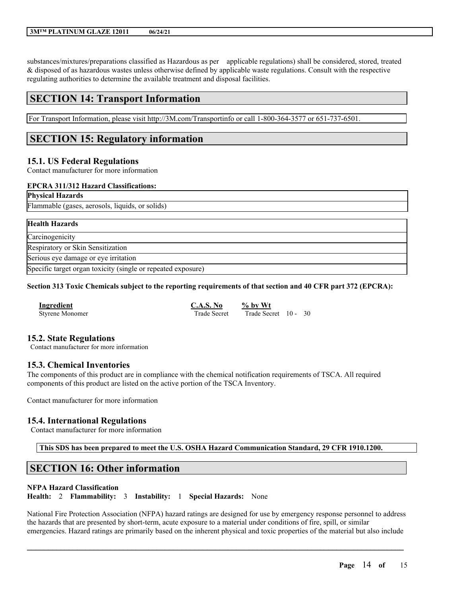substances/mixtures/preparations classified as Hazardous as per applicable regulations) shall be considered, stored, treated & disposed of as hazardous wastes unless otherwise defined by applicable waste regulations. Consult with the respective regulating authorities to determine the available treatment and disposal facilities.

# **SECTION 14: Transport Information**

For Transport Information, please visit http://3M.com/Transportinfo or call 1-800-364-3577 or 651-737-6501.

# **SECTION 15: Regulatory information**

# **15.1. US Federal Regulations**

Contact manufacturer for more information

### **EPCRA 311/312 Hazard Classifications:**

### **Physical Hazards**

Flammable (gases, aerosols, liquids, or solids)

**Health Hazards**

Carcinogenicity

Respiratory or Skin Sensitization

Serious eye damage or eye irritation

Specific target organ toxicity (single or repeated exposure)

Section 313 Toxic Chemicals subject to the reporting requirements of that section and 40 CFR part 372 (EPCRA):

**Ingredient C.A.S. No % by Wt** Styrene Monomer Trade Secret Trade Secret 10 - 30

# **15.2. State Regulations**

Contact manufacturer for more information

# **15.3. Chemical Inventories**

The components of this product are in compliance with the chemical notification requirements of TSCA. All required components of this product are listed on the active portion of the TSCA Inventory.

Contact manufacturer for more information

# **15.4. International Regulations**

Contact manufacturer for more information

**This SDS has been prepared to meet the U.S. OSHA Hazard Communication Standard, 29 CFR 1910.1200.**

# **SECTION 16: Other information**

#### **NFPA Hazard Classification**

**Health:** 2 **Flammability:** 3 **Instability:** 1 **Special Hazards:** None

National Fire Protection Association (NFPA) hazard ratings are designed for use by emergency response personnel to address the hazards that are presented by short-term, acute exposure to a material under conditions of fire, spill, or similar emergencies. Hazard ratings are primarily based on the inherent physical and toxic properties of the material but also include